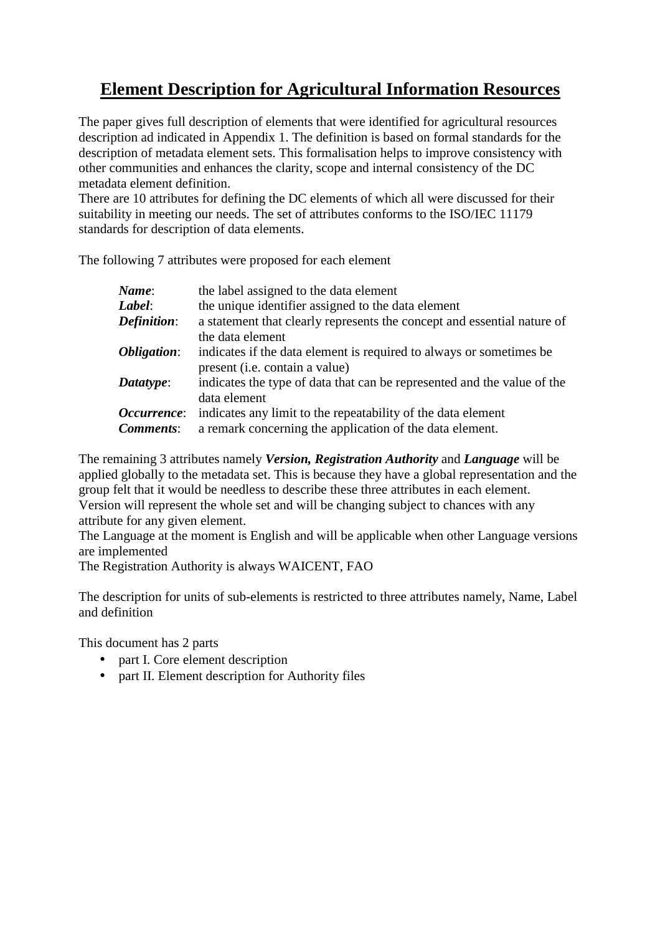# **Element Description for Agricultural Information Resources**

The paper gives full description of elements that were identified for agricultural resources description ad indicated in Appendix 1. The definition is based on formal standards for the description of metadata element sets. This formalisation helps to improve consistency with other communities and enhances the clarity, scope and internal consistency of the DC metadata element definition.

There are 10 attributes for defining the DC elements of which all were discussed for their suitability in meeting our needs. The set of attributes conforms to the ISO/IEC 11179 standards for description of data elements.

The following 7 attributes were proposed for each element

| the label assigned to the data element                                  |
|-------------------------------------------------------------------------|
| the unique identifier assigned to the data element                      |
| a statement that clearly represents the concept and essential nature of |
| the data element                                                        |
| indicates if the data element is required to always or sometimes be     |
| present (i.e. contain a value)                                          |
| indicates the type of data that can be represented and the value of the |
| data element                                                            |
| indicates any limit to the repeatability of the data element            |
| a remark concerning the application of the data element.                |
|                                                                         |

The remaining 3 attributes namely *Version, Registration Authority* and *Language* will be applied globally to the metadata set. This is because they have a global representation and the group felt that it would be needless to describe these three attributes in each element. Version will represent the whole set and will be changing subject to chances with any attribute for any given element.

The Language at the moment is English and will be applicable when other Language versions are implemented

The Registration Authority is always WAICENT, FAO

The description for units of sub-elements is restricted to three attributes namely, Name, Label and definition

This document has 2 parts

- part I. Core element description
- part II. Element description for Authority files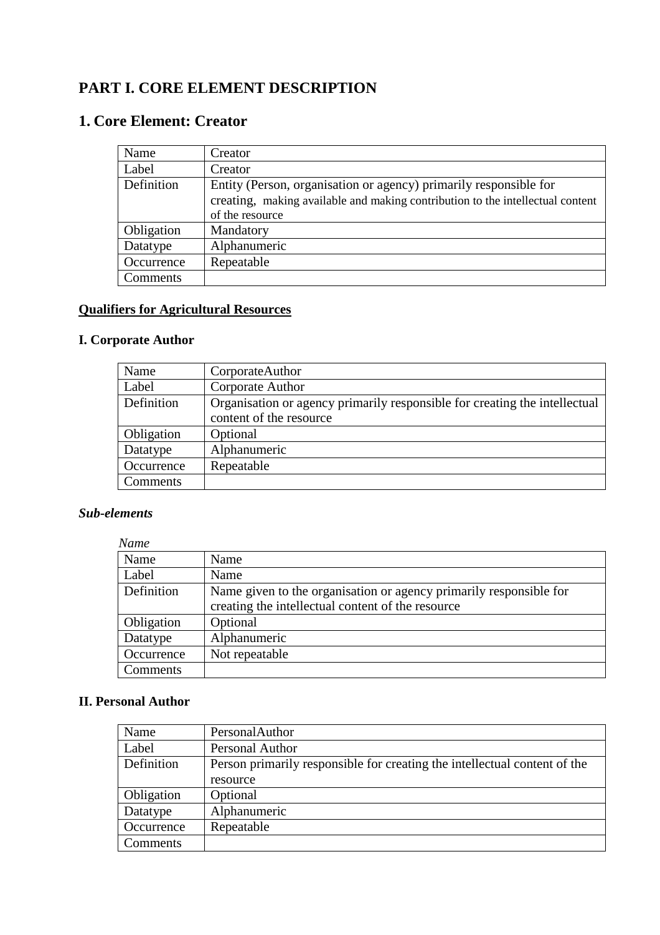# **PART I. CORE ELEMENT DESCRIPTION**

# **1. Core Element: Creator**

| Name       | Creator                                                                        |
|------------|--------------------------------------------------------------------------------|
| Label      | Creator                                                                        |
| Definition | Entity (Person, organisation or agency) primarily responsible for              |
|            | creating, making available and making contribution to the intellectual content |
|            | of the resource                                                                |
| Obligation | Mandatory                                                                      |
| Datatype   | Alphanumeric                                                                   |
| Occurrence | Repeatable                                                                     |
| Comments   |                                                                                |

## **Qualifiers for Agricultural Resources**

## **I. Corporate Author**

| Name       | CorporateAuthor                                                            |
|------------|----------------------------------------------------------------------------|
| Label      | Corporate Author                                                           |
| Definition | Organisation or agency primarily responsible for creating the intellectual |
|            | content of the resource                                                    |
| Obligation | Optional                                                                   |
| Datatype   | Alphanumeric                                                               |
| Occurrence | Repeatable                                                                 |
| Comments   |                                                                            |

#### *Sub-elements*

| <b>Name</b> |                                                                    |
|-------------|--------------------------------------------------------------------|
| Name        | Name                                                               |
| Label       | Name                                                               |
| Definition  | Name given to the organisation or agency primarily responsible for |
|             | creating the intellectual content of the resource                  |
| Obligation  | Optional                                                           |
| Datatype    | Alphanumeric                                                       |
| Occurrence  | Not repeatable                                                     |
| Comments    |                                                                    |

#### **II. Personal Author**

| Name       | PersonalAuthor                                                            |
|------------|---------------------------------------------------------------------------|
| Label      | Personal Author                                                           |
| Definition | Person primarily responsible for creating the intellectual content of the |
|            | resource                                                                  |
| Obligation | Optional                                                                  |
| Datatype   | Alphanumeric                                                              |
| Occurrence | Repeatable                                                                |
| Comments   |                                                                           |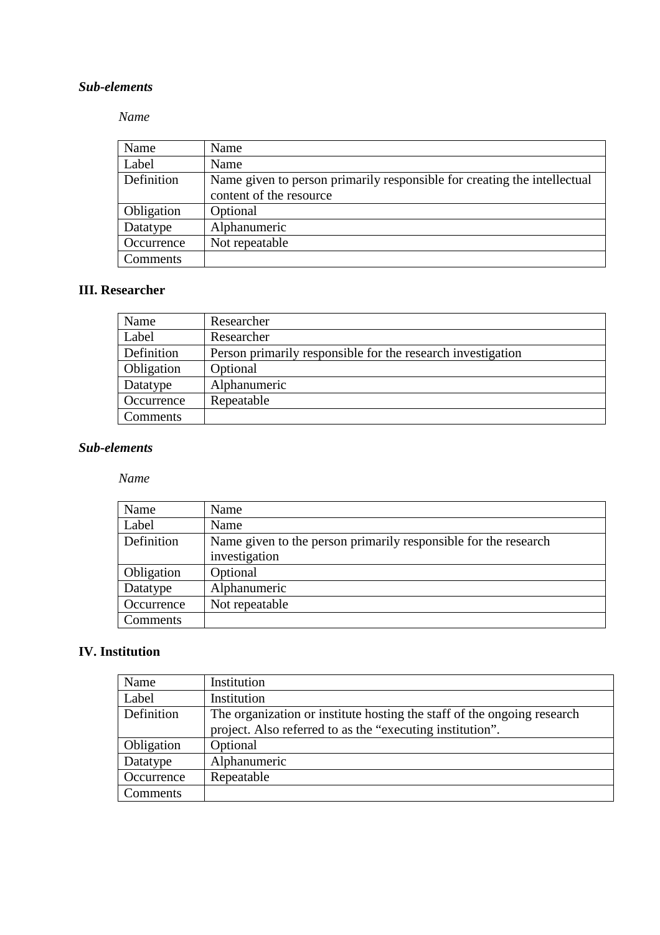#### *Name*

| Name       | Name                                                                                                |
|------------|-----------------------------------------------------------------------------------------------------|
| Label      | Name                                                                                                |
| Definition | Name given to person primarily responsible for creating the intellectual<br>content of the resource |
| Obligation | Optional                                                                                            |
| Datatype   | Alphanumeric                                                                                        |
| Occurrence | Not repeatable                                                                                      |
| Comments   |                                                                                                     |

## **III. Researcher**

| Name       | Researcher                                                  |
|------------|-------------------------------------------------------------|
| Label      | Researcher                                                  |
| Definition | Person primarily responsible for the research investigation |
| Obligation | Optional                                                    |
| Datatype   | Alphanumeric                                                |
| Occurrence | Repeatable                                                  |
| Comments   |                                                             |

#### *Sub-elements*

#### *Name*

| Name       | Name                                                            |
|------------|-----------------------------------------------------------------|
| Label      | Name                                                            |
| Definition | Name given to the person primarily responsible for the research |
|            | investigation                                                   |
| Obligation | Optional                                                        |
| Datatype   | Alphanumeric                                                    |
| Occurrence | Not repeatable                                                  |
| Comments   |                                                                 |

## **IV. Institution**

| Name       | Institution                                                             |
|------------|-------------------------------------------------------------------------|
| Label      | Institution                                                             |
| Definition | The organization or institute hosting the staff of the ongoing research |
|            | project. Also referred to as the "executing institution".               |
| Obligation | Optional                                                                |
| Datatype   | Alphanumeric                                                            |
| Occurrence | Repeatable                                                              |
| Comments   |                                                                         |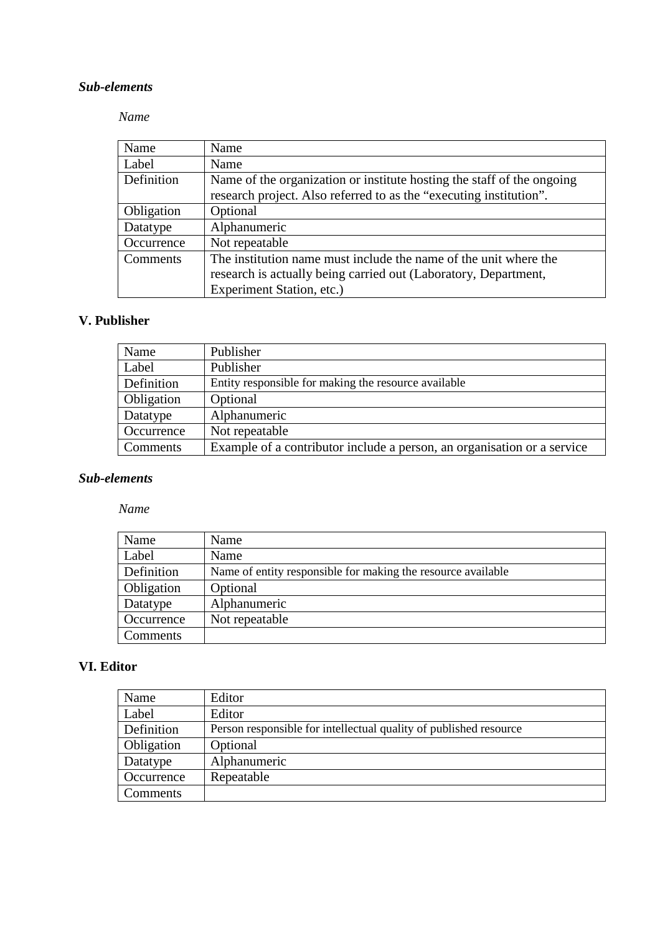#### *Name*

| Name       | Name                                                                   |
|------------|------------------------------------------------------------------------|
| Label      | Name                                                                   |
| Definition | Name of the organization or institute hosting the staff of the ongoing |
|            | research project. Also referred to as the "executing institution".     |
| Obligation | Optional                                                               |
| Datatype   | Alphanumeric                                                           |
| Occurrence | Not repeatable                                                         |
| Comments   | The institution name must include the name of the unit where the       |
|            | research is actually being carried out (Laboratory, Department,        |
|            | Experiment Station, etc.)                                              |

## **V. Publisher**

| Name       | Publisher                                                               |
|------------|-------------------------------------------------------------------------|
| Label      | Publisher                                                               |
| Definition | Entity responsible for making the resource available                    |
| Obligation | Optional                                                                |
| Datatype   | Alphanumeric                                                            |
| Occurrence | Not repeatable                                                          |
| Comments   | Example of a contributor include a person, an organisation or a service |

#### *Sub-elements*

#### *Name*

| Name       | Name                                                         |
|------------|--------------------------------------------------------------|
| Label      | Name                                                         |
| Definition | Name of entity responsible for making the resource available |
| Obligation | Optional                                                     |
| Datatype   | Alphanumeric                                                 |
| Occurrence | Not repeatable                                               |
| Comments   |                                                              |

#### **VI. Editor**

| Name       | Editor                                                            |
|------------|-------------------------------------------------------------------|
| Label      | Editor                                                            |
| Definition | Person responsible for intellectual quality of published resource |
| Obligation | Optional                                                          |
| Datatype   | Alphanumeric                                                      |
| Occurrence | Repeatable                                                        |
| Comments   |                                                                   |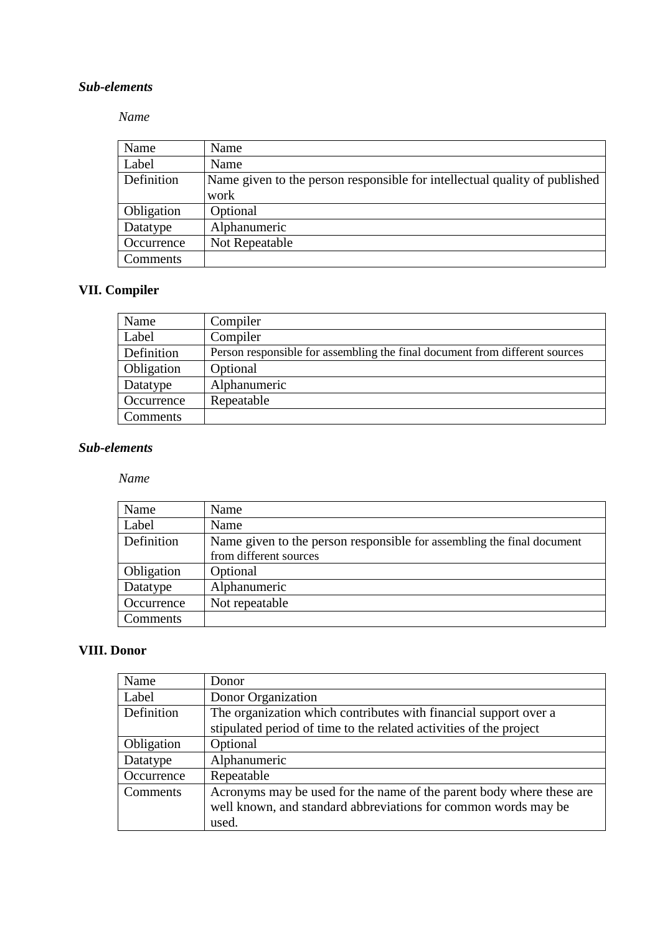#### *Name*

| Name       | Name                                                                               |
|------------|------------------------------------------------------------------------------------|
| Label      | Name                                                                               |
| Definition | Name given to the person responsible for intellectual quality of published<br>work |
| Obligation | Optional                                                                           |
| Datatype   | Alphanumeric                                                                       |
| Occurrence | Not Repeatable                                                                     |
| Comments   |                                                                                    |

# **VII. Compiler**

| Name       | Compiler                                                                    |
|------------|-----------------------------------------------------------------------------|
| Label      | Compiler                                                                    |
| Definition | Person responsible for assembling the final document from different sources |
| Obligation | Optional                                                                    |
| Datatype   | Alphanumeric                                                                |
| Occurrence | Repeatable                                                                  |
| Comments   |                                                                             |

#### *Sub-elements*

#### *Name*

| Name       | Name                                                                   |
|------------|------------------------------------------------------------------------|
| Label      | Name                                                                   |
| Definition | Name given to the person responsible for assembling the final document |
|            | from different sources                                                 |
| Obligation | Optional                                                               |
| Datatype   | Alphanumeric                                                           |
| Occurrence | Not repeatable                                                         |
| Comments   |                                                                        |

#### **VIII. Donor**

| Name       | Donor                                                                |
|------------|----------------------------------------------------------------------|
| Label      | Donor Organization                                                   |
| Definition | The organization which contributes with financial support over a     |
|            | stipulated period of time to the related activities of the project   |
| Obligation | Optional                                                             |
| Datatype   | Alphanumeric                                                         |
| Occurrence | Repeatable                                                           |
| Comments   | Acronyms may be used for the name of the parent body where these are |
|            | well known, and standard abbreviations for common words may be       |
|            | used.                                                                |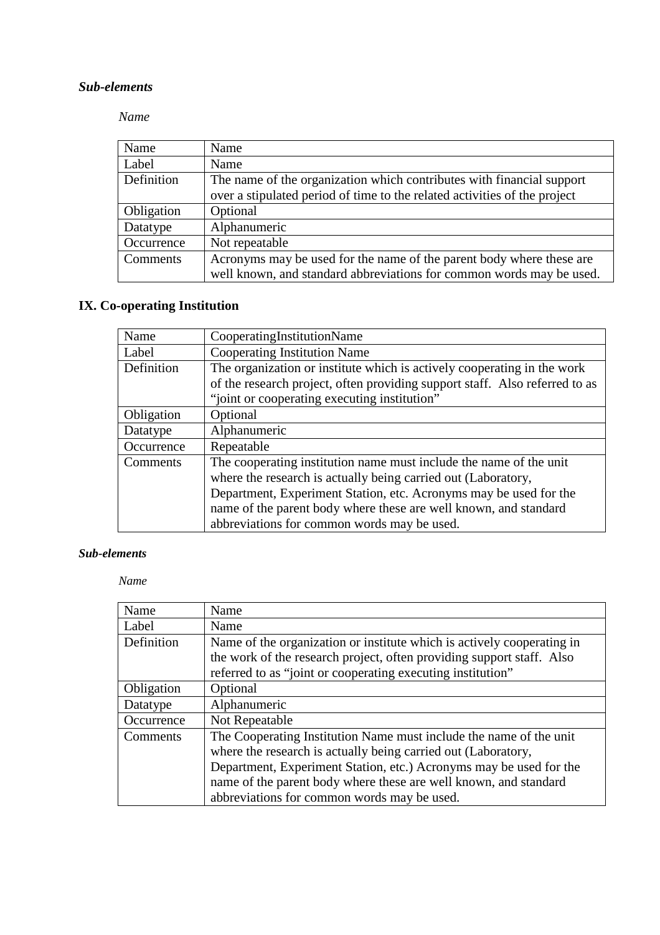#### *Name*

| Name       | Name                                                                      |
|------------|---------------------------------------------------------------------------|
| Label      | Name                                                                      |
| Definition | The name of the organization which contributes with financial support     |
|            | over a stipulated period of time to the related activities of the project |
| Obligation | Optional                                                                  |
| Datatype   | Alphanumeric                                                              |
| Occurrence | Not repeatable                                                            |
| Comments   | Acronyms may be used for the name of the parent body where these are      |
|            | well known, and standard abbreviations for common words may be used.      |

# **IX. Co-operating Institution**

| Name       | CooperatingInstitutionName                                                  |
|------------|-----------------------------------------------------------------------------|
| Label      | Cooperating Institution Name                                                |
| Definition | The organization or institute which is actively cooperating in the work     |
|            | of the research project, often providing support staff. Also referred to as |
|            | "joint or cooperating executing institution"                                |
| Obligation | Optional                                                                    |
| Datatype   | Alphanumeric                                                                |
| Occurrence | Repeatable                                                                  |
| Comments   | The cooperating institution name must include the name of the unit          |
|            | where the research is actually being carried out (Laboratory,               |
|            | Department, Experiment Station, etc. Acronyms may be used for the           |
|            | name of the parent body where these are well known, and standard            |
|            | abbreviations for common words may be used.                                 |

#### *Sub-elements*

#### *Name*

| Name       | Name                                                                   |
|------------|------------------------------------------------------------------------|
| Label      | Name                                                                   |
| Definition | Name of the organization or institute which is actively cooperating in |
|            | the work of the research project, often providing support staff. Also  |
|            | referred to as "joint or cooperating executing institution"            |
| Obligation | Optional                                                               |
| Datatype   | Alphanumeric                                                           |
| Occurrence | Not Repeatable                                                         |
| Comments   | The Cooperating Institution Name must include the name of the unit     |
|            | where the research is actually being carried out (Laboratory,          |
|            | Department, Experiment Station, etc.) Acronyms may be used for the     |
|            | name of the parent body where these are well known, and standard       |
|            | abbreviations for common words may be used.                            |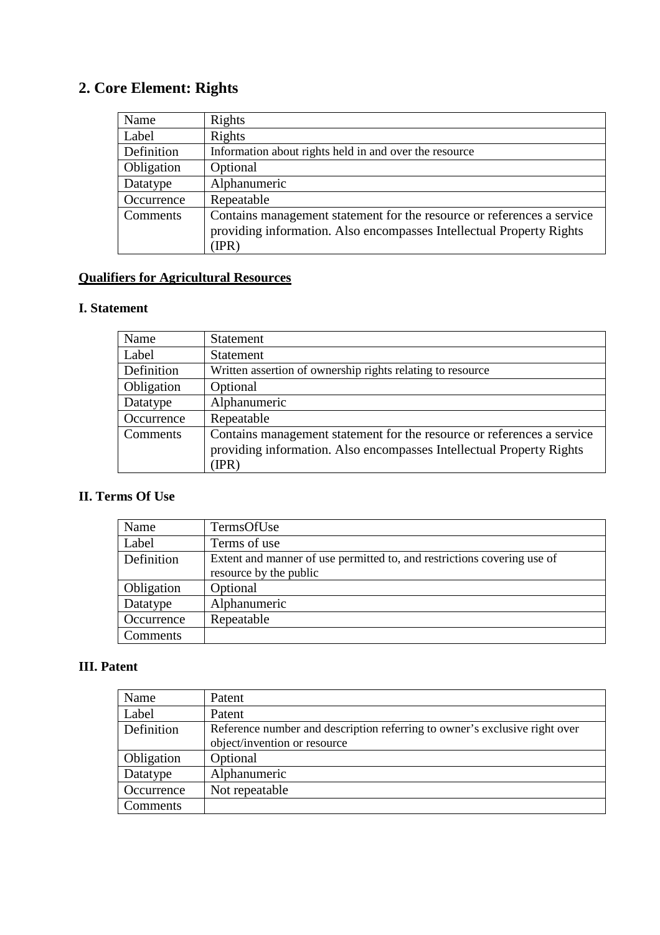# **2. Core Element: Rights**

| Name       | Rights                                                                                                                                         |
|------------|------------------------------------------------------------------------------------------------------------------------------------------------|
| Label      | Rights                                                                                                                                         |
| Definition | Information about rights held in and over the resource                                                                                         |
| Obligation | Optional                                                                                                                                       |
| Datatype   | Alphanumeric                                                                                                                                   |
| Occurrence | Repeatable                                                                                                                                     |
| Comments   | Contains management statement for the resource or references a service<br>providing information. Also encompasses Intellectual Property Rights |
|            | IPR)                                                                                                                                           |

# **Qualifiers for Agricultural Resources**

#### **I. Statement**

| Name       | <b>Statement</b>                                                                                                                                        |
|------------|---------------------------------------------------------------------------------------------------------------------------------------------------------|
| Label      | <b>Statement</b>                                                                                                                                        |
| Definition | Written assertion of ownership rights relating to resource                                                                                              |
| Obligation | Optional                                                                                                                                                |
| Datatype   | Alphanumeric                                                                                                                                            |
| Occurrence | Repeatable                                                                                                                                              |
| Comments   | Contains management statement for the resource or references a service<br>providing information. Also encompasses Intellectual Property Rights<br>(IPR) |

# **II. Terms Of Use**

| Name       | TermsOfUse                                                              |
|------------|-------------------------------------------------------------------------|
| Label      | Terms of use                                                            |
| Definition | Extent and manner of use permitted to, and restrictions covering use of |
|            | resource by the public                                                  |
| Obligation | Optional                                                                |
| Datatype   | Alphanumeric                                                            |
| Occurrence | Repeatable                                                              |
| Comments   |                                                                         |

## **III. Patent**

| Name       | Patent                                                                     |
|------------|----------------------------------------------------------------------------|
| Label      | Patent                                                                     |
| Definition | Reference number and description referring to owner's exclusive right over |
|            | object/invention or resource                                               |
| Obligation | Optional                                                                   |
| Datatype   | Alphanumeric                                                               |
| Occurrence | Not repeatable                                                             |
| Comments   |                                                                            |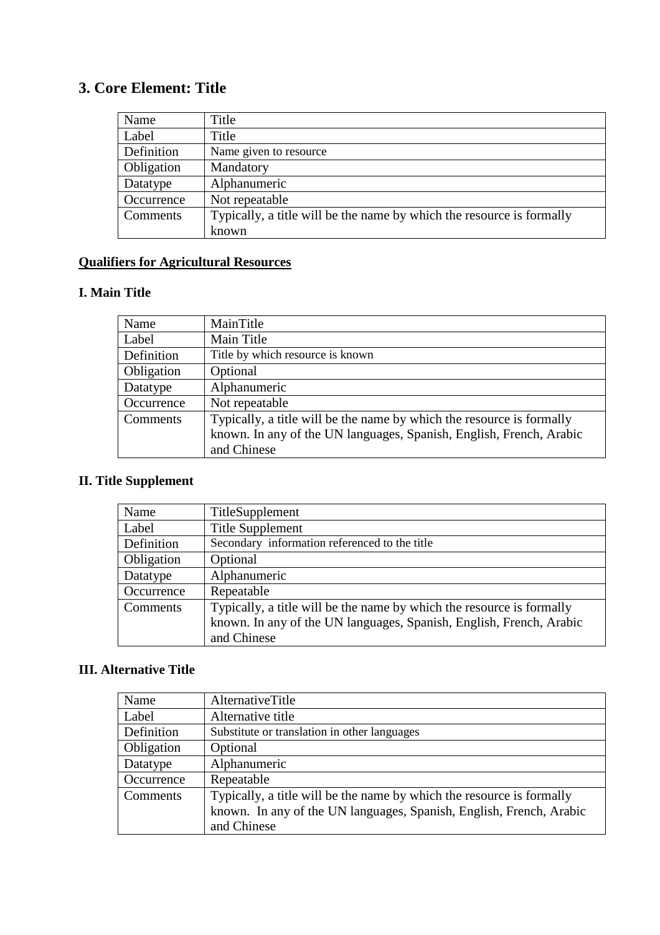# **3. Core Element: Title**

| Name       | Title                                                                 |
|------------|-----------------------------------------------------------------------|
| Label      | Title                                                                 |
| Definition | Name given to resource                                                |
| Obligation | Mandatory                                                             |
| Datatype   | Alphanumeric                                                          |
| Occurrence | Not repeatable                                                        |
| Comments   | Typically, a title will be the name by which the resource is formally |
|            | known                                                                 |

## **Qualifiers for Agricultural Resources**

## **I. Main Title**

| Name       | MainTitle                                                             |
|------------|-----------------------------------------------------------------------|
| Label      | Main Title                                                            |
| Definition | Title by which resource is known                                      |
| Obligation | Optional                                                              |
| Datatype   | Alphanumeric                                                          |
| Occurrence | Not repeatable                                                        |
| Comments   | Typically, a title will be the name by which the resource is formally |
|            | known. In any of the UN languages, Spanish, English, French, Arabic   |
|            | and Chinese                                                           |

# **II. Title Supplement**

| Name       | TitleSupplement                                                       |
|------------|-----------------------------------------------------------------------|
| Label      | <b>Title Supplement</b>                                               |
| Definition | Secondary information referenced to the title                         |
| Obligation | Optional                                                              |
| Datatype   | Alphanumeric                                                          |
| Occurrence | Repeatable                                                            |
| Comments   | Typically, a title will be the name by which the resource is formally |
|            | known. In any of the UN languages, Spanish, English, French, Arabic   |
|            | and Chinese                                                           |

## **III. Alternative Title**

| Name       | AlternativeTitle                                                      |
|------------|-----------------------------------------------------------------------|
| Label      | Alternative title                                                     |
| Definition | Substitute or translation in other languages                          |
| Obligation | Optional                                                              |
| Datatype   | Alphanumeric                                                          |
| Occurrence | Repeatable                                                            |
| Comments   | Typically, a title will be the name by which the resource is formally |
|            | known. In any of the UN languages, Spanish, English, French, Arabic   |
|            | and Chinese                                                           |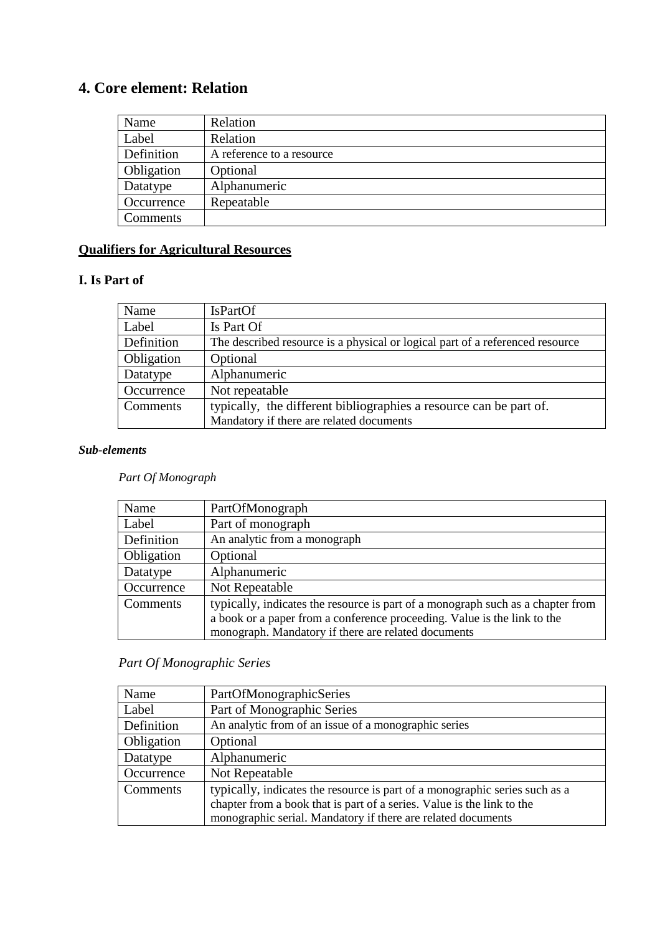# **4. Core element: Relation**

| Name       | Relation                  |
|------------|---------------------------|
| Label      | Relation                  |
| Definition | A reference to a resource |
| Obligation | Optional                  |
| Datatype   | Alphanumeric              |
| Occurrence | Repeatable                |
| Comments   |                           |

## **Qualifiers for Agricultural Resources**

## **I. Is Part of**

| Name       | <b>IsPartOf</b>                                                               |
|------------|-------------------------------------------------------------------------------|
| Label      | Is Part Of                                                                    |
| Definition | The described resource is a physical or logical part of a referenced resource |
| Obligation | Optional                                                                      |
| Datatype   | Alphanumeric                                                                  |
| Occurrence | Not repeatable                                                                |
| Comments   | typically, the different bibliographies a resource can be part of.            |
|            | Mandatory if there are related documents                                      |

#### *Sub-elements*

 *Part Of Monograph* 

| Name       | PartOfMonograph                                                                 |
|------------|---------------------------------------------------------------------------------|
| Label      | Part of monograph                                                               |
| Definition | An analytic from a monograph                                                    |
| Obligation | Optional                                                                        |
| Datatype   | Alphanumeric                                                                    |
| Occurrence | Not Repeatable                                                                  |
| Comments   | typically, indicates the resource is part of a monograph such as a chapter from |
|            | a book or a paper from a conference proceeding. Value is the link to the        |
|            | monograph. Mandatory if there are related documents                             |

## *Part Of Monographic Series*

| Name       | PartOfMonographicSeries                                                     |
|------------|-----------------------------------------------------------------------------|
| Label      | Part of Monographic Series                                                  |
| Definition | An analytic from of an issue of a monographic series                        |
| Obligation | Optional                                                                    |
| Datatype   | Alphanumeric                                                                |
| Occurrence | Not Repeatable                                                              |
| Comments   | typically, indicates the resource is part of a monographic series such as a |
|            | chapter from a book that is part of a series. Value is the link to the      |
|            | monographic serial. Mandatory if there are related documents                |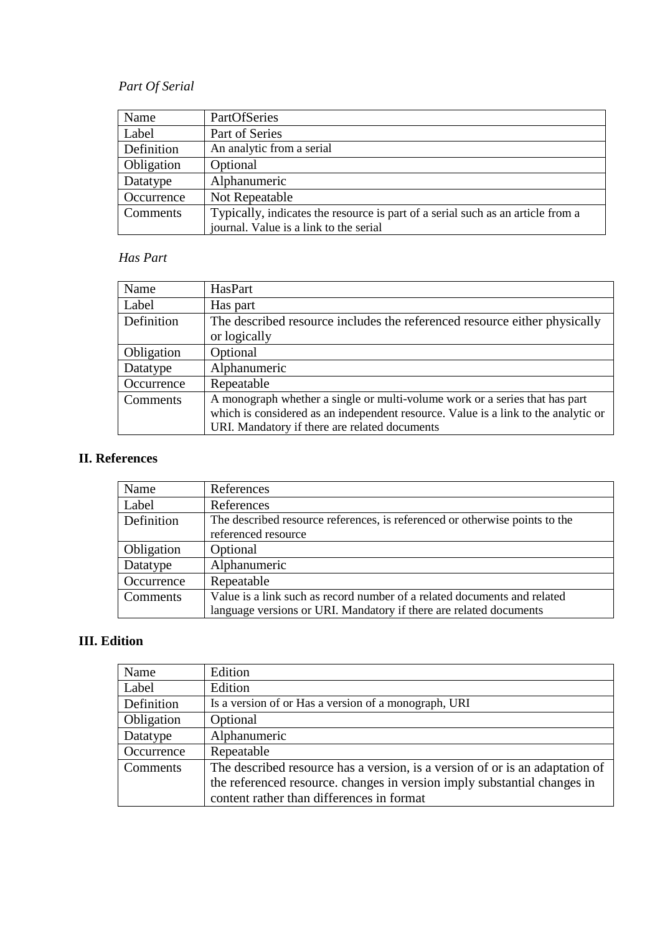# *Part Of Serial*

| Name       | PartOfSeries                                                                    |
|------------|---------------------------------------------------------------------------------|
| Label      | Part of Series                                                                  |
| Definition | An analytic from a serial                                                       |
| Obligation | Optional                                                                        |
| Datatype   | Alphanumeric                                                                    |
| Occurrence | Not Repeatable                                                                  |
| Comments   | Typically, indicates the resource is part of a serial such as an article from a |
|            | journal. Value is a link to the serial                                          |

#### *Has Part*

| Name       | HasPart                                                                            |
|------------|------------------------------------------------------------------------------------|
| Label      | Has part                                                                           |
| Definition | The described resource includes the referenced resource either physically          |
|            | or logically                                                                       |
| Obligation | Optional                                                                           |
| Datatype   | Alphanumeric                                                                       |
| Occurrence | Repeatable                                                                         |
| Comments   | A monograph whether a single or multi-volume work or a series that has part        |
|            | which is considered as an independent resource. Value is a link to the analytic or |
|            | URI. Mandatory if there are related documents                                      |

## **II. References**

| Name       | References                                                                  |
|------------|-----------------------------------------------------------------------------|
| Label      | References                                                                  |
| Definition | The described resource references, is referenced or otherwise points to the |
|            | referenced resource                                                         |
| Obligation | Optional                                                                    |
| Datatype   | Alphanumeric                                                                |
| Occurrence | Repeatable                                                                  |
| Comments   | Value is a link such as record number of a related documents and related    |
|            | language versions or URI. Mandatory if there are related documents          |

# **III. Edition**

| Name       | Edition                                                                      |
|------------|------------------------------------------------------------------------------|
| Label      | Edition                                                                      |
| Definition | Is a version of or Has a version of a monograph, URI                         |
| Obligation | Optional                                                                     |
| Datatype   | Alphanumeric                                                                 |
| Occurrence | Repeatable                                                                   |
| Comments   | The described resource has a version, is a version of or is an adaptation of |
|            | the referenced resource. changes in version imply substantial changes in     |
|            | content rather than differences in format                                    |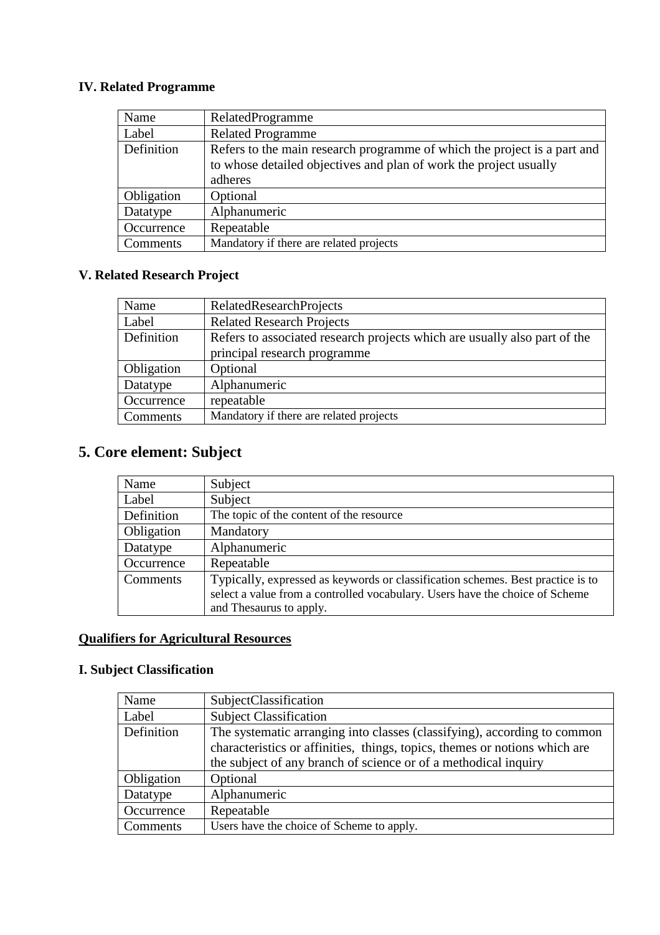## **IV. Related Programme**

| Name       | RelatedProgramme                                                         |
|------------|--------------------------------------------------------------------------|
| Label      | <b>Related Programme</b>                                                 |
| Definition | Refers to the main research programme of which the project is a part and |
|            | to whose detailed objectives and plan of work the project usually        |
|            | adheres                                                                  |
| Obligation | Optional                                                                 |
| Datatype   | Alphanumeric                                                             |
| Occurrence | Repeatable                                                               |
| Comments   | Mandatory if there are related projects                                  |

## **V. Related Research Project**

| Name       | <b>RelatedResearchProjects</b>                                            |
|------------|---------------------------------------------------------------------------|
| Label      | <b>Related Research Projects</b>                                          |
| Definition | Refers to associated research projects which are usually also part of the |
|            | principal research programme                                              |
| Obligation | Optional                                                                  |
| Datatype   | Alphanumeric                                                              |
| Occurrence | repeatable                                                                |
| Comments   | Mandatory if there are related projects                                   |

# **5. Core element: Subject**

| Name       | Subject                                                                         |
|------------|---------------------------------------------------------------------------------|
| Label      | Subject                                                                         |
| Definition | The topic of the content of the resource                                        |
| Obligation | Mandatory                                                                       |
| Datatype   | Alphanumeric                                                                    |
| Occurrence | Repeatable                                                                      |
| Comments   | Typically, expressed as keywords or classification schemes. Best practice is to |
|            | select a value from a controlled vocabulary. Users have the choice of Scheme    |
|            | and Thesaurus to apply.                                                         |

## **Qualifiers for Agricultural Resources**

# **I. Subject Classification**

| Name       | SubjectClassification                                                      |
|------------|----------------------------------------------------------------------------|
| Label      | <b>Subject Classification</b>                                              |
| Definition | The systematic arranging into classes (classifying), according to common   |
|            | characteristics or affinities, things, topics, themes or notions which are |
|            | the subject of any branch of science or of a methodical inquiry            |
| Obligation | Optional                                                                   |
| Datatype   | Alphanumeric                                                               |
| Occurrence | Repeatable                                                                 |
| Comments   | Users have the choice of Scheme to apply.                                  |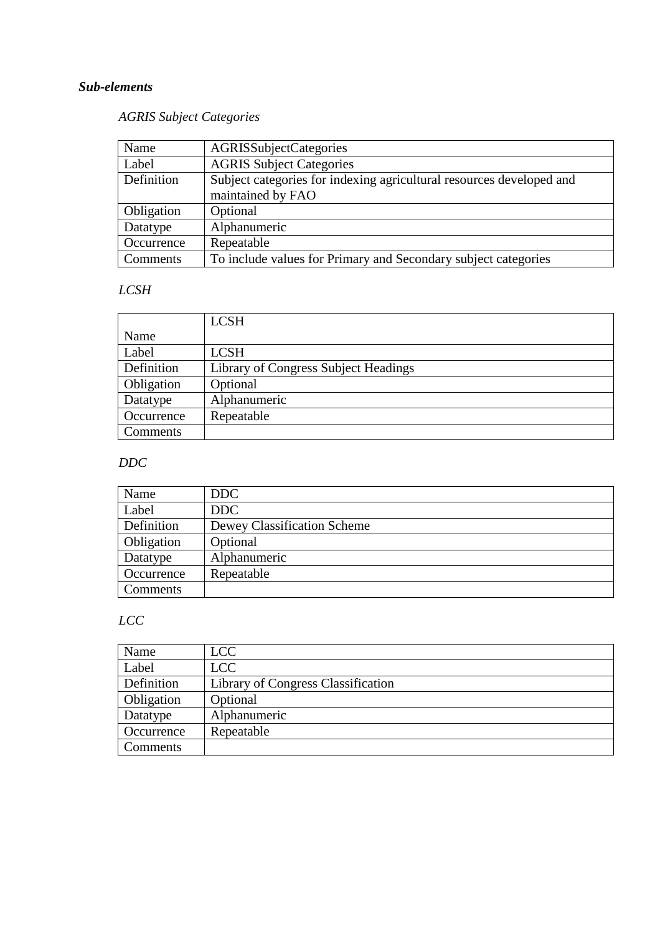## *AGRIS Subject Categories*

| Name       | AGRISSubjectCategories                                               |
|------------|----------------------------------------------------------------------|
| Label      | <b>AGRIS Subject Categories</b>                                      |
| Definition | Subject categories for indexing agricultural resources developed and |
|            | maintained by FAO                                                    |
| Obligation | Optional                                                             |
| Datatype   | Alphanumeric                                                         |
| Occurrence | Repeatable                                                           |
| Comments   | To include values for Primary and Secondary subject categories       |

## *LCSH*

|            | <b>LCSH</b>                          |
|------------|--------------------------------------|
| Name       |                                      |
| Label      | <b>LCSH</b>                          |
| Definition | Library of Congress Subject Headings |
| Obligation | Optional                             |
| Datatype   | Alphanumeric                         |
| Occurrence | Repeatable                           |
| Comments   |                                      |

## *DDC*

| Name       | DDC                         |
|------------|-----------------------------|
| Label      | DDC                         |
| Definition | Dewey Classification Scheme |
| Obligation | Optional                    |
| Datatype   | Alphanumeric                |
| Occurrence | Repeatable                  |
| Comments   |                             |

# *LCC*

| Name       | <b>LCC</b>                         |
|------------|------------------------------------|
| Label      | <b>LCC</b>                         |
| Definition | Library of Congress Classification |
| Obligation | Optional                           |
| Datatype   | Alphanumeric                       |
| Occurrence | Repeatable                         |
| Comments   |                                    |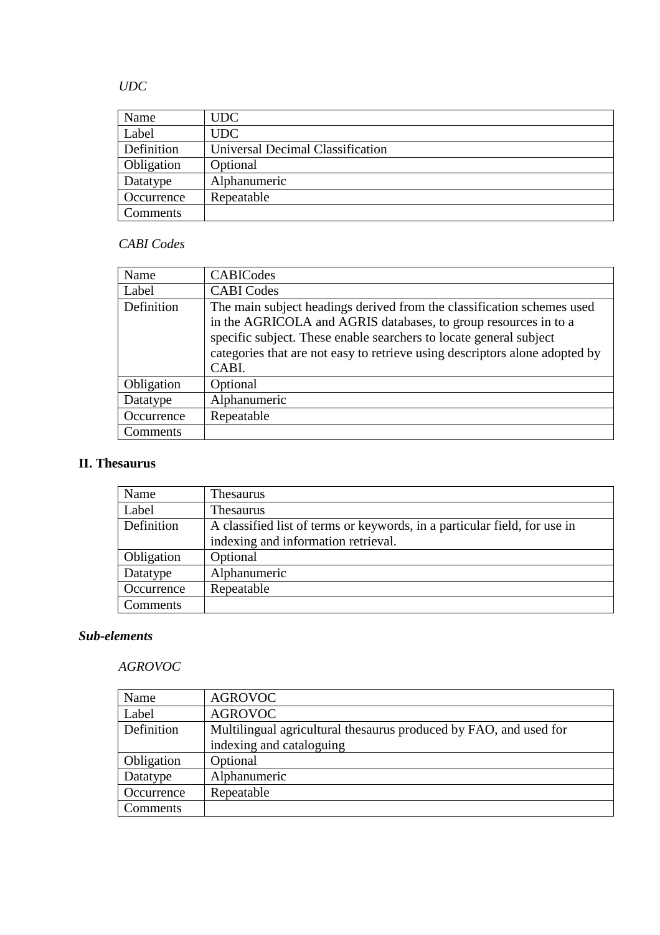## *UDC*

| Name       | <b>UDC</b>                       |
|------------|----------------------------------|
| Label      | <b>UDC</b>                       |
| Definition | Universal Decimal Classification |
| Obligation | Optional                         |
| Datatype   | Alphanumeric                     |
| Occurrence | Repeatable                       |
| Comments   |                                  |

## *CABI Codes*

| Name       | <b>CABICodes</b>                                                                                                                                                                                                                                                                                        |
|------------|---------------------------------------------------------------------------------------------------------------------------------------------------------------------------------------------------------------------------------------------------------------------------------------------------------|
| Label      | <b>CABI</b> Codes                                                                                                                                                                                                                                                                                       |
| Definition | The main subject headings derived from the classification schemes used<br>in the AGRICOLA and AGRIS databases, to group resources in to a<br>specific subject. These enable searchers to locate general subject<br>categories that are not easy to retrieve using descriptors alone adopted by<br>CABI. |
| Obligation | Optional                                                                                                                                                                                                                                                                                                |
| Datatype   | Alphanumeric                                                                                                                                                                                                                                                                                            |
| Occurrence | Repeatable                                                                                                                                                                                                                                                                                              |
| Comments   |                                                                                                                                                                                                                                                                                                         |

## **II. Thesaurus**

| Name       | <b>Thesaurus</b>                                                          |
|------------|---------------------------------------------------------------------------|
| Label      | <b>Thesaurus</b>                                                          |
| Definition | A classified list of terms or keywords, in a particular field, for use in |
|            | indexing and information retrieval.                                       |
| Obligation | Optional                                                                  |
| Datatype   | Alphanumeric                                                              |
| Occurrence | Repeatable                                                                |
| Comments   |                                                                           |

#### *Sub-elements*

## *AGROVOC*

| Name       | <b>AGROVOC</b>                                                    |
|------------|-------------------------------------------------------------------|
| Label      | <b>AGROVOC</b>                                                    |
| Definition | Multilingual agricultural thesaurus produced by FAO, and used for |
|            | indexing and cataloguing                                          |
| Obligation | Optional                                                          |
| Datatype   | Alphanumeric                                                      |
| Occurrence | Repeatable                                                        |
| Comments   |                                                                   |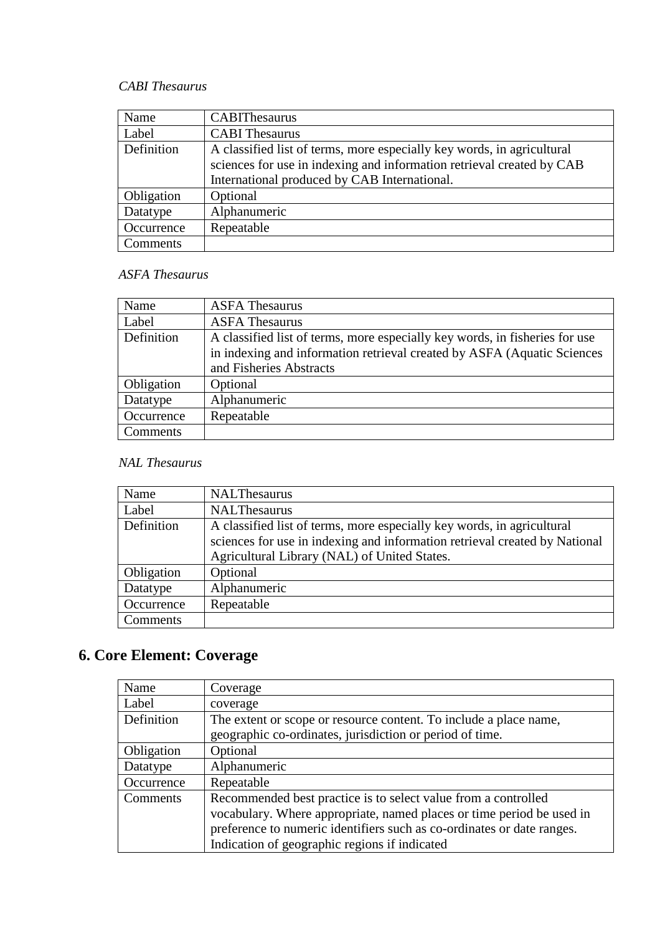## *CABI Thesaurus*

| Name       | <b>CABIThesaurus</b>                                                   |
|------------|------------------------------------------------------------------------|
| Label      | <b>CABI</b> Thesaurus                                                  |
| Definition | A classified list of terms, more especially key words, in agricultural |
|            | sciences for use in indexing and information retrieval created by CAB  |
|            | International produced by CAB International.                           |
| Obligation | Optional                                                               |
| Datatype   | Alphanumeric                                                           |
| Occurrence | Repeatable                                                             |
| Comments   |                                                                        |

## *ASFA Thesaurus*

| Name       | <b>ASFA Thesaurus</b>                                                       |
|------------|-----------------------------------------------------------------------------|
| Label      | <b>ASFA Thesaurus</b>                                                       |
| Definition | A classified list of terms, more especially key words, in fisheries for use |
|            | in indexing and information retrieval created by ASFA (Aquatic Sciences     |
|            | and Fisheries Abstracts                                                     |
| Obligation | Optional                                                                    |
| Datatype   | Alphanumeric                                                                |
| Occurrence | Repeatable                                                                  |
| Comments   |                                                                             |

## *NAL Thesaurus*

| Name       | <b>NALThesaurus</b>                                                        |
|------------|----------------------------------------------------------------------------|
| Label      | <b>NALThesaurus</b>                                                        |
| Definition | A classified list of terms, more especially key words, in agricultural     |
|            | sciences for use in indexing and information retrieval created by National |
|            | Agricultural Library (NAL) of United States.                               |
| Obligation | Optional                                                                   |
| Datatype   | Alphanumeric                                                               |
| Occurrence | Repeatable                                                                 |
| Comments   |                                                                            |

# **6. Core Element: Coverage**

| Name       | Coverage                                                               |
|------------|------------------------------------------------------------------------|
| Label      | coverage                                                               |
| Definition | The extent or scope or resource content. To include a place name,      |
|            | geographic co-ordinates, jurisdiction or period of time.               |
| Obligation | Optional                                                               |
| Datatype   | Alphanumeric                                                           |
| Occurrence | Repeatable                                                             |
| Comments   | Recommended best practice is to select value from a controlled         |
|            | vocabulary. Where appropriate, named places or time period be used in  |
|            | preference to numeric identifiers such as co-ordinates or date ranges. |
|            | Indication of geographic regions if indicated                          |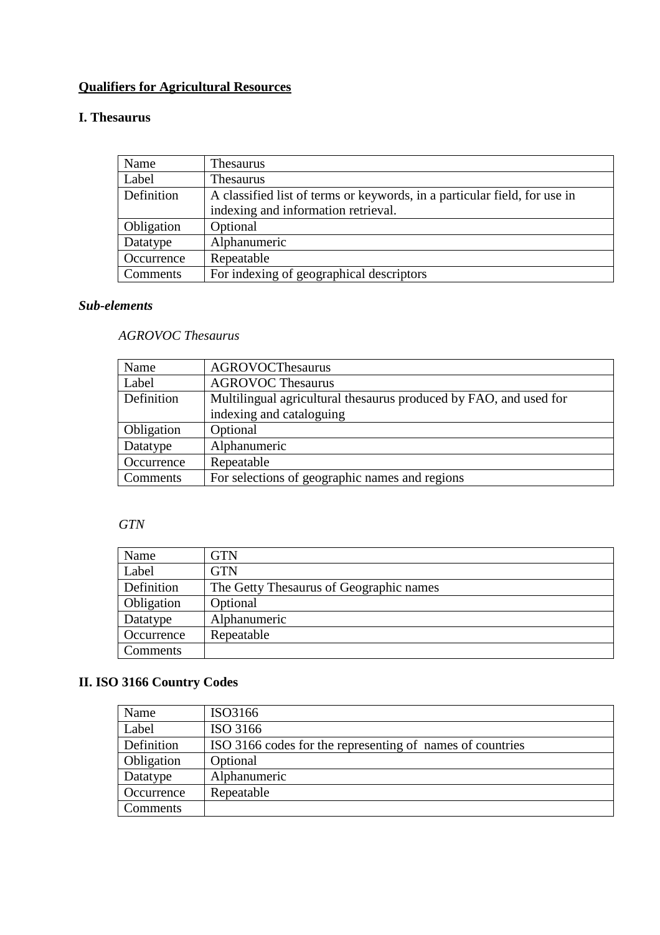# **Qualifiers for Agricultural Resources**

## **I. Thesaurus**

| Name       | <b>Thesaurus</b>                                                          |
|------------|---------------------------------------------------------------------------|
| Label      | <b>Thesaurus</b>                                                          |
| Definition | A classified list of terms or keywords, in a particular field, for use in |
|            | indexing and information retrieval.                                       |
| Obligation | Optional                                                                  |
| Datatype   | Alphanumeric                                                              |
| Occurrence | Repeatable                                                                |
| Comments   | For indexing of geographical descriptors                                  |

### *Sub-elements*

### *AGROVOC Thesaurus*

| Name       | <b>AGROVOCThesaurus</b>                                           |
|------------|-------------------------------------------------------------------|
| Label      | <b>AGROVOC Thesaurus</b>                                          |
| Definition | Multilingual agricultural thesaurus produced by FAO, and used for |
|            | indexing and cataloguing                                          |
| Obligation | Optional                                                          |
| Datatype   | Alphanumeric                                                      |
| Occurrence | Repeatable                                                        |
| Comments   | For selections of geographic names and regions                    |

## *GTN*

| Name       | GTN                                     |
|------------|-----------------------------------------|
| Label      | <b>GTN</b>                              |
| Definition | The Getty Thesaurus of Geographic names |
| Obligation | Optional                                |
| Datatype   | Alphanumeric                            |
| Occurrence | Repeatable                              |
| Comments   |                                         |

# **II. ISO 3166 Country Codes**

| Name       | ISO3166                                                   |
|------------|-----------------------------------------------------------|
| Label      | ISO 3166                                                  |
| Definition | ISO 3166 codes for the representing of names of countries |
| Obligation | Optional                                                  |
| Datatype   | Alphanumeric                                              |
| Occurrence | Repeatable                                                |
| Comments   |                                                           |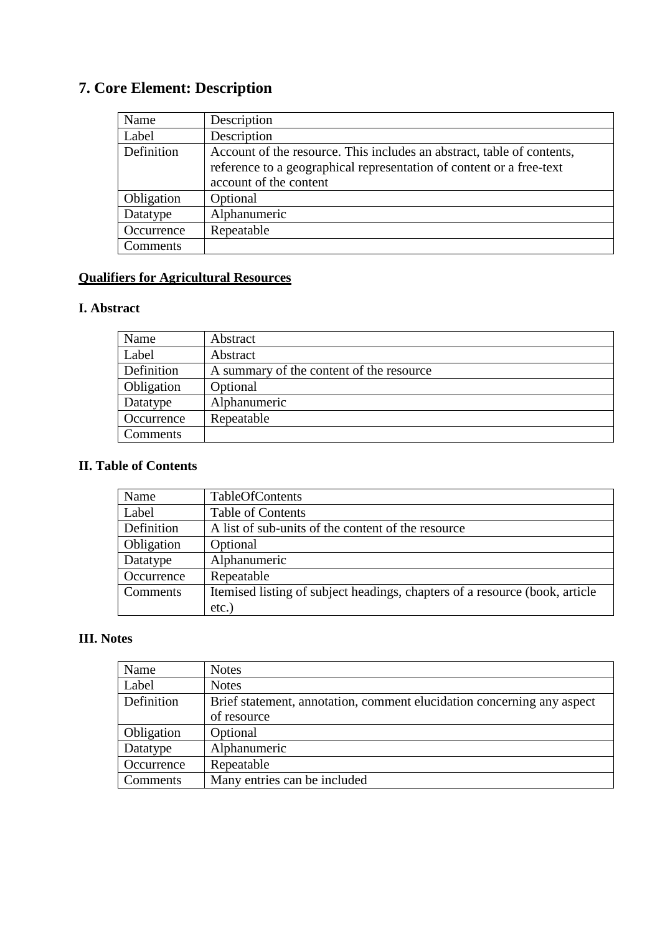# **7. Core Element: Description**

| Name       | Description                                                            |
|------------|------------------------------------------------------------------------|
| Label      | Description                                                            |
| Definition | Account of the resource. This includes an abstract, table of contents, |
|            | reference to a geographical representation of content or a free-text   |
|            | account of the content                                                 |
| Obligation | Optional                                                               |
| Datatype   | Alphanumeric                                                           |
| Occurrence | Repeatable                                                             |
| Comments   |                                                                        |

# **Qualifiers for Agricultural Resources**

#### **I. Abstract**

| Name       | Abstract                                 |
|------------|------------------------------------------|
| Label      | Abstract                                 |
| Definition | A summary of the content of the resource |
| Obligation | Optional                                 |
| Datatype   | Alphanumeric                             |
| Occurrence | Repeatable                               |
| Comments   |                                          |

#### **II. Table of Contents**

| Name       | TableOfContents                                                             |
|------------|-----------------------------------------------------------------------------|
| Label      | <b>Table of Contents</b>                                                    |
| Definition | A list of sub-units of the content of the resource                          |
| Obligation | Optional                                                                    |
| Datatype   | Alphanumeric                                                                |
| Occurrence | Repeatable                                                                  |
| Comments   | Itemised listing of subject headings, chapters of a resource (book, article |
|            | $etc.$ )                                                                    |

## **III. Notes**

| Name       | <b>Notes</b>                                                           |
|------------|------------------------------------------------------------------------|
| Label      | <b>Notes</b>                                                           |
| Definition | Brief statement, annotation, comment elucidation concerning any aspect |
|            | of resource                                                            |
| Obligation | Optional                                                               |
| Datatype   | Alphanumeric                                                           |
| Occurrence | Repeatable                                                             |
| Comments   | Many entries can be included                                           |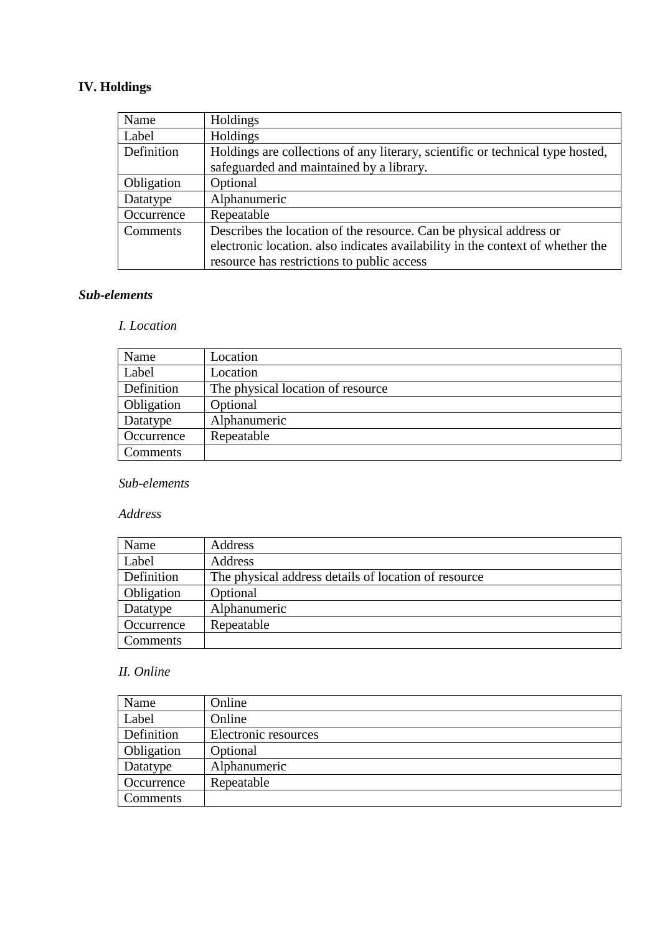# **IV. Holdings**

| Name       | Holdings                                                                       |
|------------|--------------------------------------------------------------------------------|
| Label      | Holdings                                                                       |
| Definition | Holdings are collections of any literary, scientific or technical type hosted, |
|            | safeguarded and maintained by a library.                                       |
| Obligation | Optional                                                                       |
| Datatype   | Alphanumeric                                                                   |
| Occurrence | Repeatable                                                                     |
| Comments   | Describes the location of the resource. Can be physical address or             |
|            | electronic location. also indicates availability in the context of whether the |
|            | resource has restrictions to public access                                     |

#### *Sub-elements*

#### *I. Location*

| Name       | Location                          |
|------------|-----------------------------------|
| Label      | Location                          |
| Definition | The physical location of resource |
| Obligation | Optional                          |
| Datatype   | Alphanumeric                      |
| Occurrence | Repeatable                        |
| Comments   |                                   |

## *Sub-elements*

#### *Address*

| Name       | Address                                              |
|------------|------------------------------------------------------|
| Label      | Address                                              |
| Definition | The physical address details of location of resource |
| Obligation | Optional                                             |
| Datatype   | Alphanumeric                                         |
| Occurrence | Repeatable                                           |
| Comments   |                                                      |

#### *II. Online*

| Name       | Online               |
|------------|----------------------|
| Label      | Online               |
| Definition | Electronic resources |
| Obligation | Optional             |
| Datatype   | Alphanumeric         |
| Occurrence | Repeatable           |
| Comments   |                      |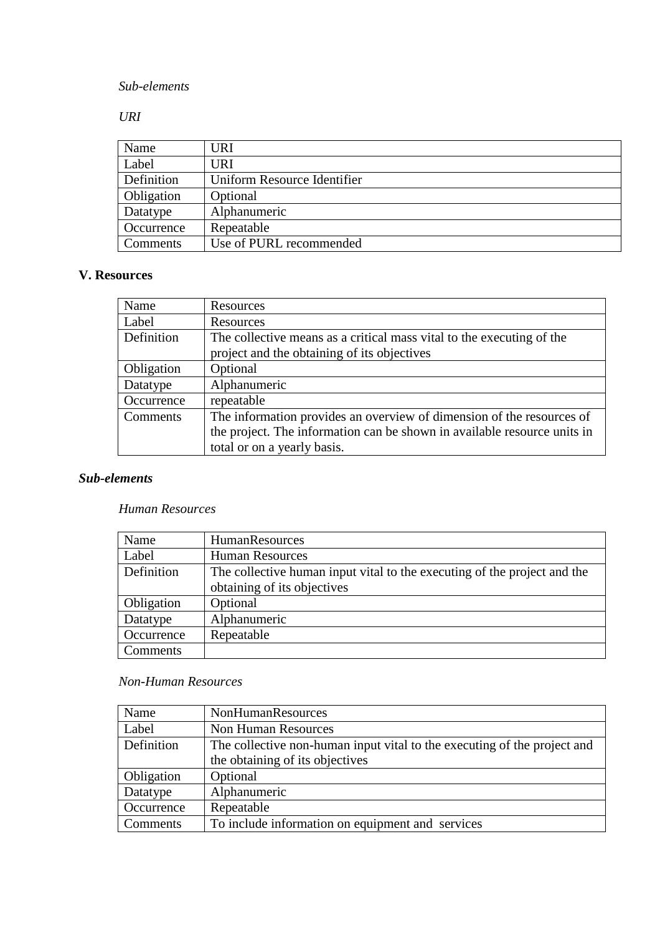## *URI*

| Name       | <b>URI</b>                  |
|------------|-----------------------------|
| Label      | URI                         |
| Definition | Uniform Resource Identifier |
| Obligation | Optional                    |
| Datatype   | Alphanumeric                |
| Occurrence | Repeatable                  |
| Comments   | Use of PURL recommended     |

### **V. Resources**

| Name       | Resources                                                                |
|------------|--------------------------------------------------------------------------|
| Label      | Resources                                                                |
| Definition | The collective means as a critical mass vital to the executing of the    |
|            | project and the obtaining of its objectives                              |
| Obligation | Optional                                                                 |
| Datatype   | Alphanumeric                                                             |
| Occurrence | repeatable                                                               |
| Comments   | The information provides an overview of dimension of the resources of    |
|            | the project. The information can be shown in available resource units in |
|            | total or on a yearly basis.                                              |

#### *Sub-elements*

#### *Human Resources*

| Name       | HumanResources                                                           |
|------------|--------------------------------------------------------------------------|
| Label      | <b>Human Resources</b>                                                   |
| Definition | The collective human input vital to the executing of the project and the |
|            | obtaining of its objectives                                              |
| Obligation | Optional                                                                 |
| Datatype   | Alphanumeric                                                             |
| Occurrence | Repeatable                                                               |
| Comments   |                                                                          |

#### *Non-Human Resources*

| Name       | <b>NonHumanResources</b>                                                 |
|------------|--------------------------------------------------------------------------|
| Label      | Non Human Resources                                                      |
| Definition | The collective non-human input vital to the executing of the project and |
|            | the obtaining of its objectives                                          |
| Obligation | Optional                                                                 |
| Datatype   | Alphanumeric                                                             |
| Occurrence | Repeatable                                                               |
| Comments   | To include information on equipment and services                         |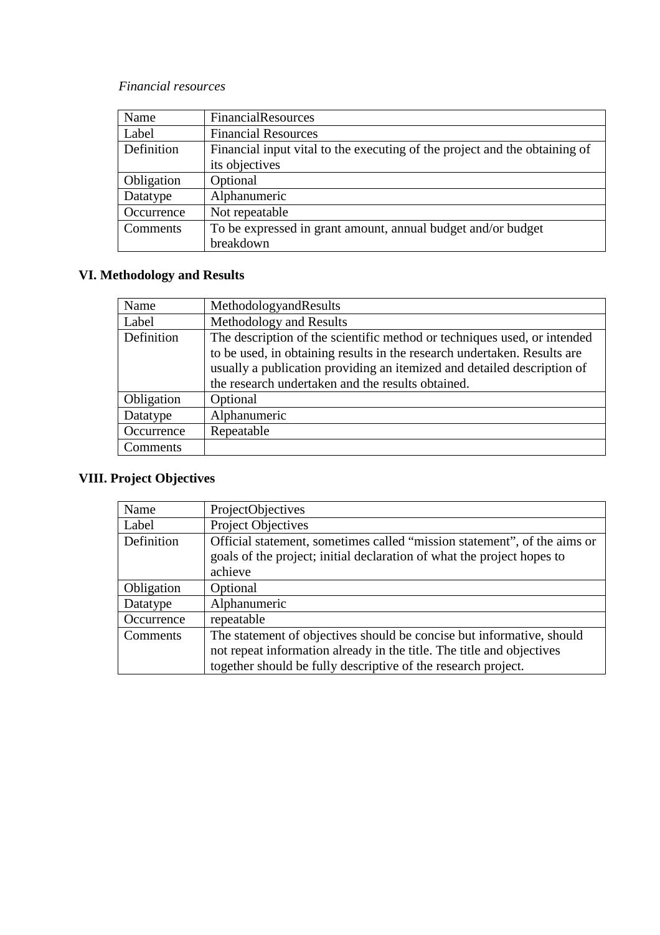#### *Financial resources*

| Name       | <b>FinancialResources</b>                                                  |
|------------|----------------------------------------------------------------------------|
| Label      | <b>Financial Resources</b>                                                 |
| Definition | Financial input vital to the executing of the project and the obtaining of |
|            | its objectives                                                             |
| Obligation | Optional                                                                   |
| Datatype   | Alphanumeric                                                               |
| Occurrence | Not repeatable                                                             |
| Comments   | To be expressed in grant amount, annual budget and/or budget               |
|            | breakdown                                                                  |

# **VI. Methodology and Results**

| Name       | MethodologyandResults                                                    |
|------------|--------------------------------------------------------------------------|
| Label      | Methodology and Results                                                  |
| Definition | The description of the scientific method or techniques used, or intended |
|            | to be used, in obtaining results in the research undertaken. Results are |
|            | usually a publication providing an itemized and detailed description of  |
|            | the research undertaken and the results obtained.                        |
| Obligation | Optional                                                                 |
| Datatype   | Alphanumeric                                                             |
| Occurrence | Repeatable                                                               |
| Comments   |                                                                          |

# **VIII. Project Objectives**

| Name       | ProjectObjectives                                                                                                                                                                                               |
|------------|-----------------------------------------------------------------------------------------------------------------------------------------------------------------------------------------------------------------|
| Label      | <b>Project Objectives</b>                                                                                                                                                                                       |
| Definition | Official statement, sometimes called "mission statement", of the aims or<br>goals of the project; initial declaration of what the project hopes to<br>achieve                                                   |
| Obligation | Optional                                                                                                                                                                                                        |
| Datatype   | Alphanumeric                                                                                                                                                                                                    |
| Occurrence | repeatable                                                                                                                                                                                                      |
| Comments   | The statement of objectives should be concise but informative, should<br>not repeat information already in the title. The title and objectives<br>together should be fully descriptive of the research project. |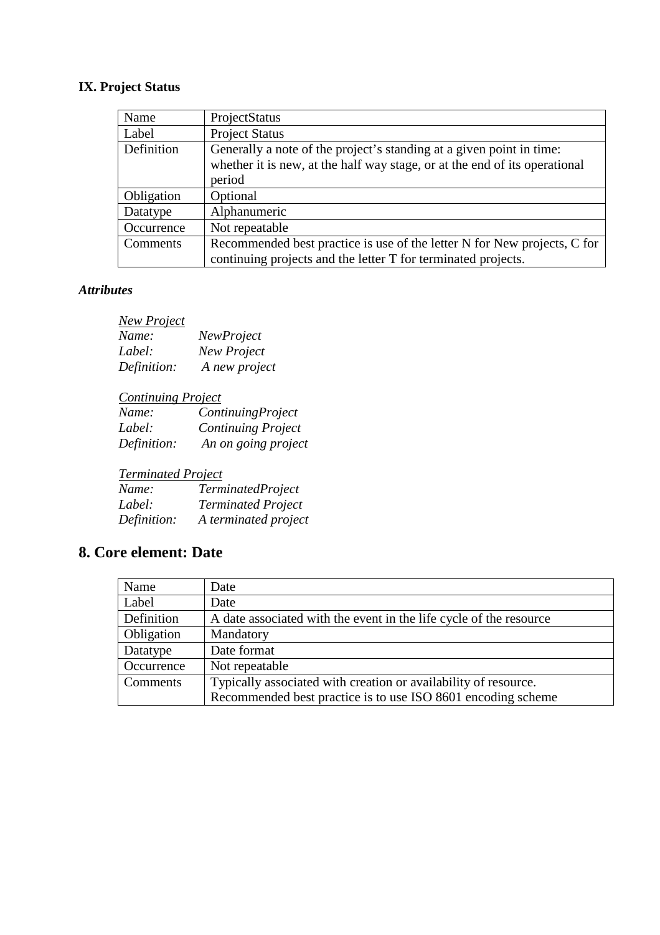# **IX. Project Status**

| Name       | ProjectStatus                                                              |
|------------|----------------------------------------------------------------------------|
| Label      | <b>Project Status</b>                                                      |
| Definition | Generally a note of the project's standing at a given point in time:       |
|            | whether it is new, at the half way stage, or at the end of its operational |
|            | period                                                                     |
| Obligation | Optional                                                                   |
| Datatype   | Alphanumeric                                                               |
| Occurrence | Not repeatable                                                             |
| Comments   | Recommended best practice is use of the letter N for New projects, C for   |
|            | continuing projects and the letter T for terminated projects.              |

### *Attributes*

| <b>New Project</b> |                   |
|--------------------|-------------------|
| Name:              | <i>NewProject</i> |
| Label:             | New Project       |
| Definition:        | A new project     |

| <b>Continuing Project</b> |                           |
|---------------------------|---------------------------|
| Name:                     | ContinuingProject         |
| Label:                    | <b>Continuing Project</b> |
| Definition:               | An on going project       |

# *Terminated Project*

| Name:       | <b>TerminatedProject</b>  |
|-------------|---------------------------|
| Label:      | <b>Terminated Project</b> |
| Definition: | A terminated project      |

# **8. Core element: Date**

| Name       | Date                                                               |
|------------|--------------------------------------------------------------------|
| Label      | Date                                                               |
| Definition | A date associated with the event in the life cycle of the resource |
| Obligation | Mandatory                                                          |
| Datatype   | Date format                                                        |
| Occurrence | Not repeatable                                                     |
| Comments   | Typically associated with creation or availability of resource.    |
|            | Recommended best practice is to use ISO 8601 encoding scheme       |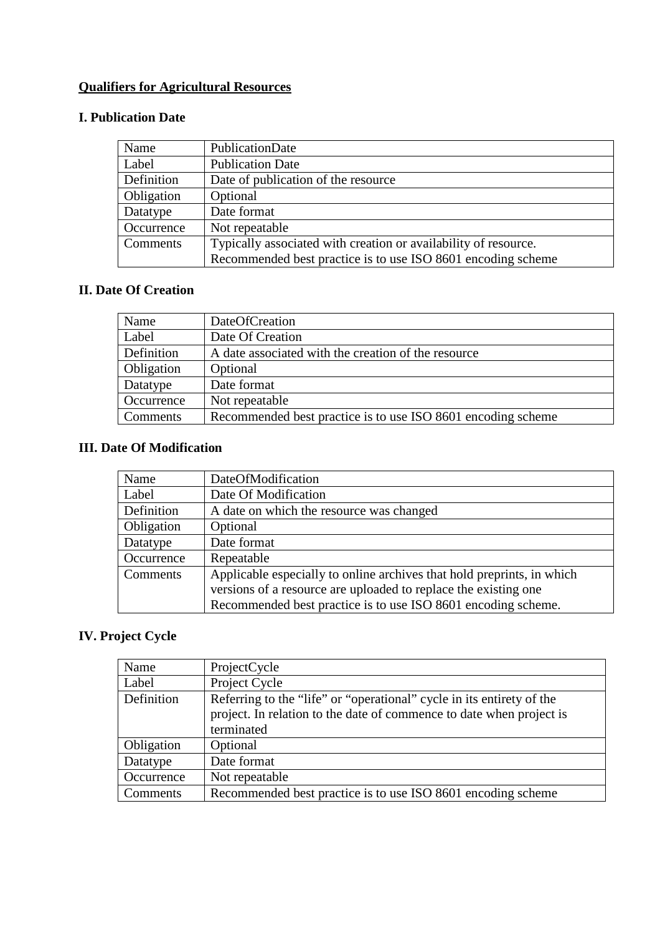# **Qualifiers for Agricultural Resources**

### **I. Publication Date**

| Name       | PublicationDate                                                 |
|------------|-----------------------------------------------------------------|
| Label      | <b>Publication Date</b>                                         |
| Definition | Date of publication of the resource                             |
| Obligation | Optional                                                        |
| Datatype   | Date format                                                     |
| Occurrence | Not repeatable                                                  |
| Comments   | Typically associated with creation or availability of resource. |
|            | Recommended best practice is to use ISO 8601 encoding scheme    |

# **II. Date Of Creation**

| Name       | DateOfCreation                                               |
|------------|--------------------------------------------------------------|
| Label      | Date Of Creation                                             |
| Definition | A date associated with the creation of the resource          |
| Obligation | Optional                                                     |
| Datatype   | Date format                                                  |
| Occurrence | Not repeatable                                               |
| Comments   | Recommended best practice is to use ISO 8601 encoding scheme |

## **III. Date Of Modification**

| Name       | DateOfModification                                                     |
|------------|------------------------------------------------------------------------|
| Label      | Date Of Modification                                                   |
| Definition | A date on which the resource was changed                               |
| Obligation | Optional                                                               |
| Datatype   | Date format                                                            |
| Occurrence | Repeatable                                                             |
| Comments   | Applicable especially to online archives that hold preprints, in which |
|            | versions of a resource are uploaded to replace the existing one        |
|            | Recommended best practice is to use ISO 8601 encoding scheme.          |

# **IV. Project Cycle**

| Name       | ProjectCycle                                                          |
|------------|-----------------------------------------------------------------------|
| Label      | Project Cycle                                                         |
| Definition | Referring to the "life" or "operational" cycle in its entirety of the |
|            | project. In relation to the date of commence to date when project is  |
|            | terminated                                                            |
| Obligation | Optional                                                              |
| Datatype   | Date format                                                           |
| Occurrence | Not repeatable                                                        |
| Comments   | Recommended best practice is to use ISO 8601 encoding scheme          |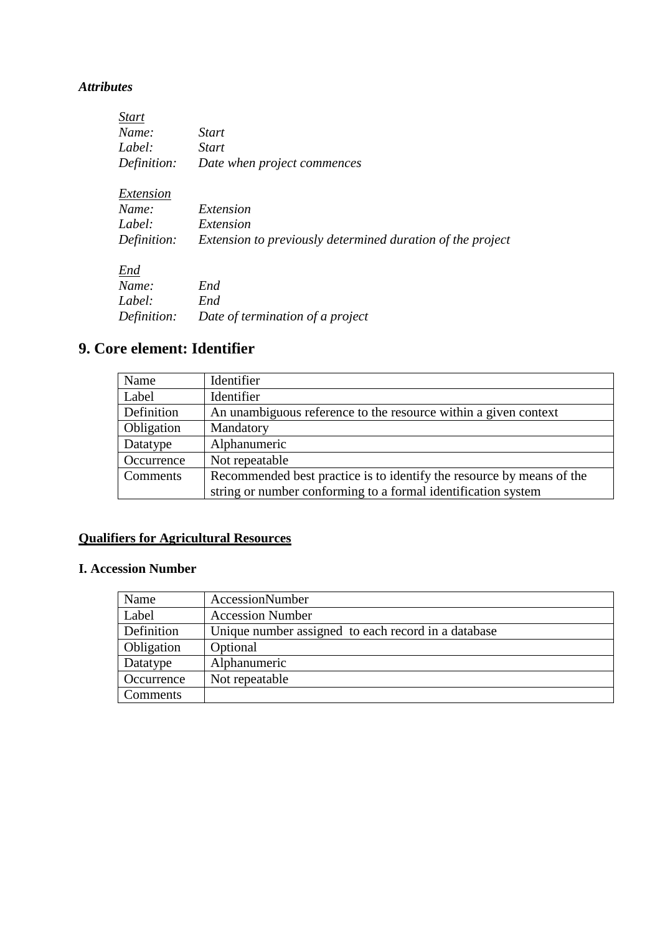#### *Attributes*

| <i>Start</i> |                                                            |
|--------------|------------------------------------------------------------|
| Name:        | <b>Start</b>                                               |
| Label:       | <b>Start</b>                                               |
| Definition:  | Date when project commences                                |
| Extension    |                                                            |
| Name:        | Extension                                                  |
| Label:       | Extension                                                  |
| Definition:  | Extension to previously determined duration of the project |
| End          |                                                            |
| Name:        | End                                                        |
| Label:       | End                                                        |
| Definition:  | Date of termination of a project                           |
|              |                                                            |

# **9. Core element: Identifier**

| Name       | Identifier                                                            |
|------------|-----------------------------------------------------------------------|
| Label      | Identifier                                                            |
| Definition | An unambiguous reference to the resource within a given context       |
| Obligation | Mandatory                                                             |
| Datatype   | Alphanumeric                                                          |
| Occurrence | Not repeatable                                                        |
| Comments   | Recommended best practice is to identify the resource by means of the |
|            | string or number conforming to a formal identification system         |

# **Qualifiers for Agricultural Resources**

## **I. Accession Number**

| Name       | AccessionNumber                                     |
|------------|-----------------------------------------------------|
| Label      | <b>Accession Number</b>                             |
| Definition | Unique number assigned to each record in a database |
| Obligation | Optional                                            |
| Datatype   | Alphanumeric                                        |
| Occurrence | Not repeatable                                      |
| Comments   |                                                     |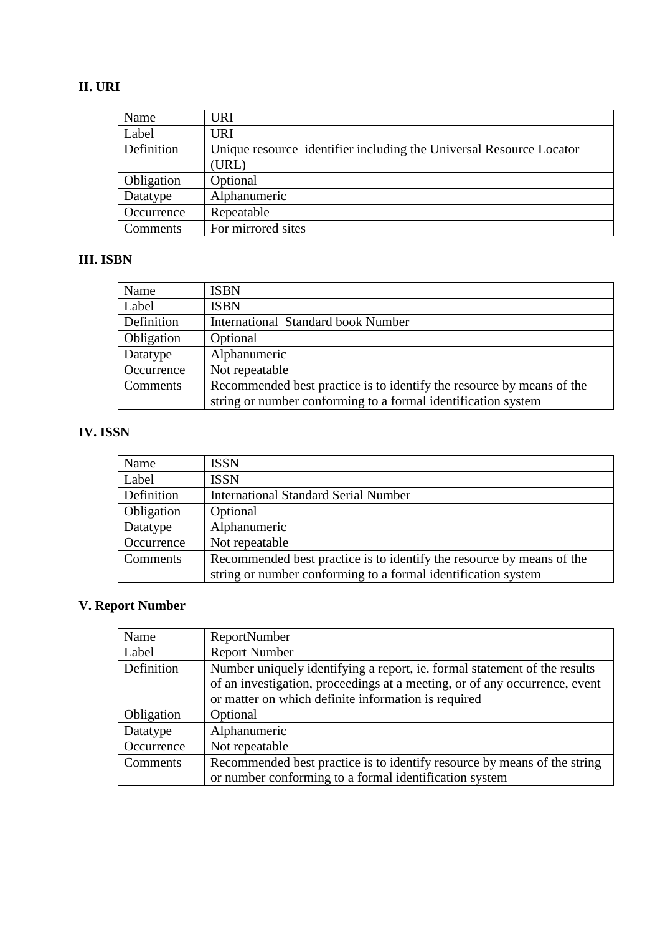## **II. URI**

| Name       | <b>URI</b>                                                          |
|------------|---------------------------------------------------------------------|
| Label      | <b>URI</b>                                                          |
| Definition | Unique resource identifier including the Universal Resource Locator |
|            | (URL)                                                               |
| Obligation | Optional                                                            |
| Datatype   | Alphanumeric                                                        |
| Occurrence | Repeatable                                                          |
| Comments   | For mirrored sites                                                  |

## **III. ISBN**

| Name       | <b>ISBN</b>                                                           |
|------------|-----------------------------------------------------------------------|
| Label      | <b>ISBN</b>                                                           |
| Definition | <b>International Standard book Number</b>                             |
| Obligation | Optional                                                              |
| Datatype   | Alphanumeric                                                          |
| Occurrence | Not repeatable                                                        |
| Comments   | Recommended best practice is to identify the resource by means of the |
|            | string or number conforming to a formal identification system         |

# **IV. ISSN**

| Name       | <b>ISSN</b>                                                           |
|------------|-----------------------------------------------------------------------|
| Label      | <b>ISSN</b>                                                           |
| Definition | <b>International Standard Serial Number</b>                           |
| Obligation | Optional                                                              |
| Datatype   | Alphanumeric                                                          |
| Occurrence | Not repeatable                                                        |
| Comments   | Recommended best practice is to identify the resource by means of the |
|            | string or number conforming to a formal identification system         |

# **V. Report Number**

| Name       | <b>ReportNumber</b>                                                        |
|------------|----------------------------------------------------------------------------|
| Label      | <b>Report Number</b>                                                       |
| Definition | Number uniquely identifying a report, ie. formal statement of the results  |
|            | of an investigation, proceedings at a meeting, or of any occurrence, event |
|            | or matter on which definite information is required                        |
| Obligation | Optional                                                                   |
| Datatype   | Alphanumeric                                                               |
| Occurrence | Not repeatable                                                             |
| Comments   | Recommended best practice is to identify resource by means of the string   |
|            | or number conforming to a formal identification system                     |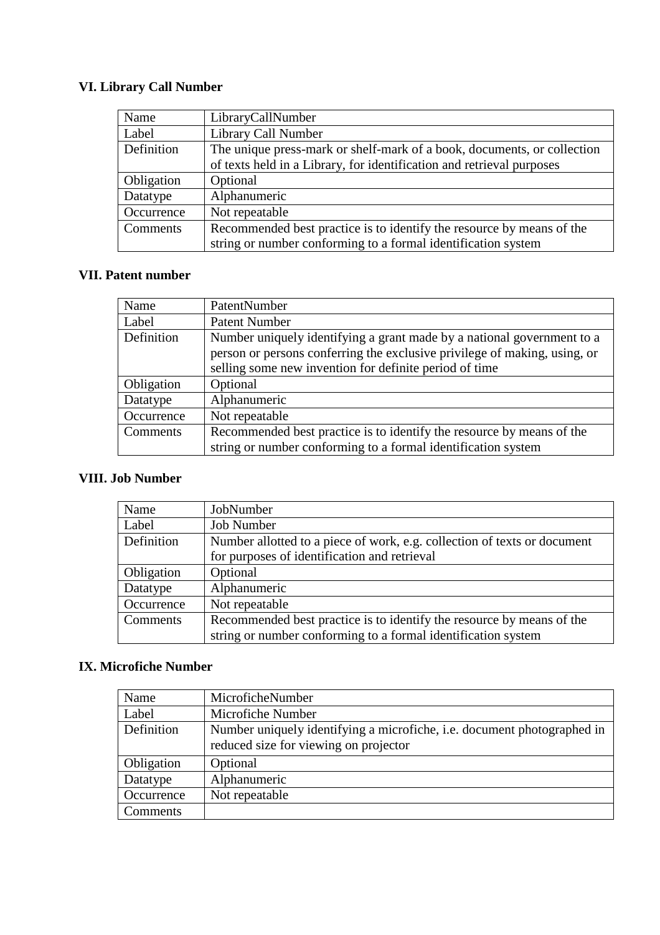# **VI. Library Call Number**

| Name       | LibraryCallNumber                                                       |
|------------|-------------------------------------------------------------------------|
| Label      | Library Call Number                                                     |
| Definition | The unique press-mark or shelf-mark of a book, documents, or collection |
|            | of texts held in a Library, for identification and retrieval purposes   |
| Obligation | Optional                                                                |
| Datatype   | Alphanumeric                                                            |
| Occurrence | Not repeatable                                                          |
| Comments   | Recommended best practice is to identify the resource by means of the   |
|            | string or number conforming to a formal identification system           |

## **VII. Patent number**

| Name       | PatentNumber                                                              |
|------------|---------------------------------------------------------------------------|
| Label      | <b>Patent Number</b>                                                      |
| Definition | Number uniquely identifying a grant made by a national government to a    |
|            | person or persons conferring the exclusive privilege of making, using, or |
|            | selling some new invention for definite period of time                    |
| Obligation | Optional                                                                  |
| Datatype   | Alphanumeric                                                              |
| Occurrence | Not repeatable                                                            |
| Comments   | Recommended best practice is to identify the resource by means of the     |
|            | string or number conforming to a formal identification system             |

#### **VIII. Job Number**

| Name       | JobNumber                                                                |
|------------|--------------------------------------------------------------------------|
| Label      | <b>Job Number</b>                                                        |
| Definition | Number allotted to a piece of work, e.g. collection of texts or document |
|            | for purposes of identification and retrieval                             |
| Obligation | Optional                                                                 |
| Datatype   | Alphanumeric                                                             |
| Occurrence | Not repeatable                                                           |
| Comments   | Recommended best practice is to identify the resource by means of the    |
|            | string or number conforming to a formal identification system            |

## **IX. Microfiche Number**

| Name       | MicroficheNumber                                                                                                 |
|------------|------------------------------------------------------------------------------------------------------------------|
| Label      | Microfiche Number                                                                                                |
| Definition | Number uniquely identifying a microfiche, i.e. document photographed in<br>reduced size for viewing on projector |
| Obligation | Optional                                                                                                         |
| Datatype   | Alphanumeric                                                                                                     |
| Occurrence | Not repeatable                                                                                                   |
| Comments   |                                                                                                                  |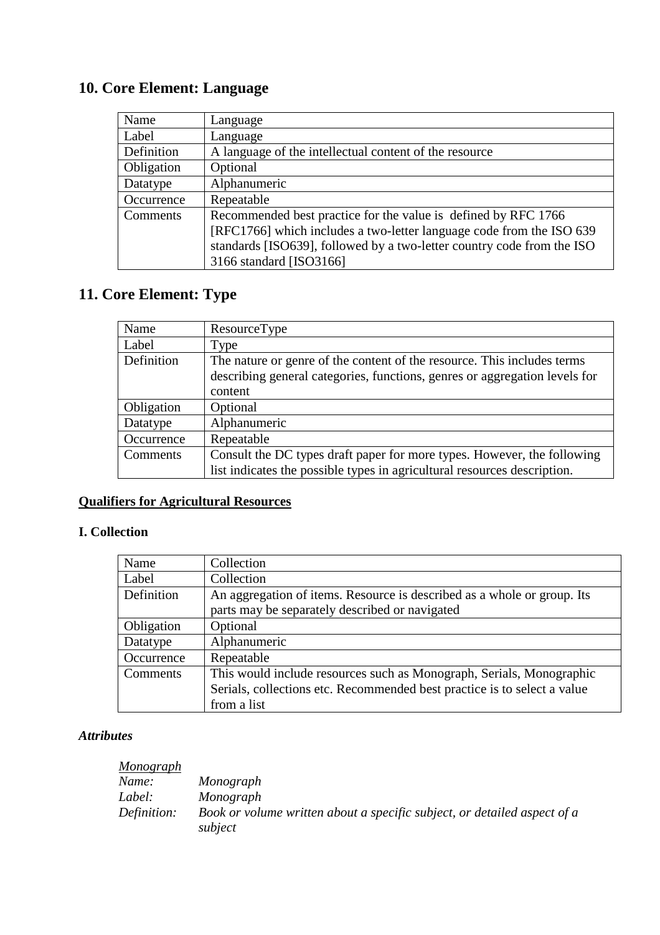# **10. Core Element: Language**

| Name       | Language                                                                                                                                                                                                                                    |
|------------|---------------------------------------------------------------------------------------------------------------------------------------------------------------------------------------------------------------------------------------------|
| Label      | Language                                                                                                                                                                                                                                    |
| Definition | A language of the intellectual content of the resource                                                                                                                                                                                      |
| Obligation | Optional                                                                                                                                                                                                                                    |
| Datatype   | Alphanumeric                                                                                                                                                                                                                                |
| Occurrence | Repeatable                                                                                                                                                                                                                                  |
| Comments   | Recommended best practice for the value is defined by RFC 1766<br>[RFC1766] which includes a two-letter language code from the ISO 639<br>standards [ISO639], followed by a two-letter country code from the ISO<br>3166 standard [ISO3166] |

# **11. Core Element: Type**

| Name       | ResourceType                                                               |
|------------|----------------------------------------------------------------------------|
| Label      | Type                                                                       |
| Definition | The nature or genre of the content of the resource. This includes terms    |
|            | describing general categories, functions, genres or aggregation levels for |
|            | content                                                                    |
| Obligation | Optional                                                                   |
| Datatype   | Alphanumeric                                                               |
| Occurrence | Repeatable                                                                 |
| Comments   | Consult the DC types draft paper for more types. However, the following    |
|            | list indicates the possible types in agricultural resources description.   |

# **Qualifiers for Agricultural Resources**

## **I. Collection**

| Name       | Collection                                                               |
|------------|--------------------------------------------------------------------------|
| Label      | Collection                                                               |
| Definition | An aggregation of items. Resource is described as a whole or group. Its  |
|            | parts may be separately described or navigated                           |
| Obligation | Optional                                                                 |
| Datatype   | Alphanumeric                                                             |
| Occurrence | Repeatable                                                               |
| Comments   | This would include resources such as Monograph, Serials, Monographic     |
|            | Serials, collections etc. Recommended best practice is to select a value |
|            | from a list                                                              |

## *Attributes*

| <u>Monograph</u> |                                                                                     |
|------------------|-------------------------------------------------------------------------------------|
| Name:            | Monograph                                                                           |
| Label:           | Monograph                                                                           |
| Definition:      | Book or volume written about a specific subject, or detailed aspect of a<br>subject |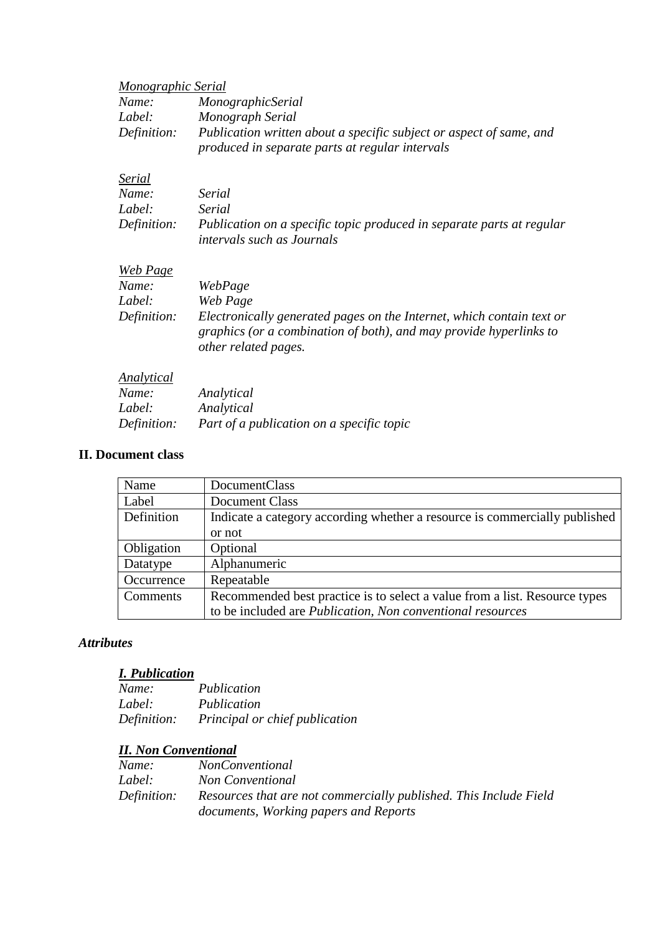| <b>Monographic Serial</b> |                                                                                                                                                                     |
|---------------------------|---------------------------------------------------------------------------------------------------------------------------------------------------------------------|
| Name:                     | MonographicSerial                                                                                                                                                   |
| Label:                    | Monograph Serial                                                                                                                                                    |
| Definition:               | Publication written about a specific subject or aspect of same, and<br>produced in separate parts at regular intervals                                              |
| Serial                    |                                                                                                                                                                     |
| Name:                     | Serial                                                                                                                                                              |
| Label:                    | Serial                                                                                                                                                              |
| Definition:               | Publication on a specific topic produced in separate parts at regular<br>intervals such as Journals                                                                 |
| <b>Web Page</b>           |                                                                                                                                                                     |
| Name:                     | WebPage                                                                                                                                                             |
| Label:                    | Web Page                                                                                                                                                            |
| Definition:               | Electronically generated pages on the Internet, which contain text or<br>graphics (or a combination of both), and may provide hyperlinks to<br>other related pages. |
| Analytical                |                                                                                                                                                                     |
| Name:                     | Analytical                                                                                                                                                          |
| Label:                    | Analytical                                                                                                                                                          |
| Definition:               | Part of a publication on a specific topic                                                                                                                           |

#### **II. Document class**

| Name       | DocumentClass                                                              |
|------------|----------------------------------------------------------------------------|
| Label      | Document Class                                                             |
| Definition | Indicate a category according whether a resource is commercially published |
|            | or not                                                                     |
| Obligation | Optional                                                                   |
| Datatype   | Alphanumeric                                                               |
| Occurrence | Repeatable                                                                 |
| Comments   | Recommended best practice is to select a value from a list. Resource types |
|            | to be included are Publication, Non conventional resources                 |

## *Attributes*

## *I. Publication*

| Name:       | Publication                    |
|-------------|--------------------------------|
| Label:      | Publication                    |
| Definition: | Principal or chief publication |

# *II. Non Conventional*

| Name:       | <i>NonConventional</i>                                            |
|-------------|-------------------------------------------------------------------|
| Label:      | <b>Non Conventional</b>                                           |
| Definition: | Resources that are not commercially published. This Include Field |
|             | documents, Working papers and Reports                             |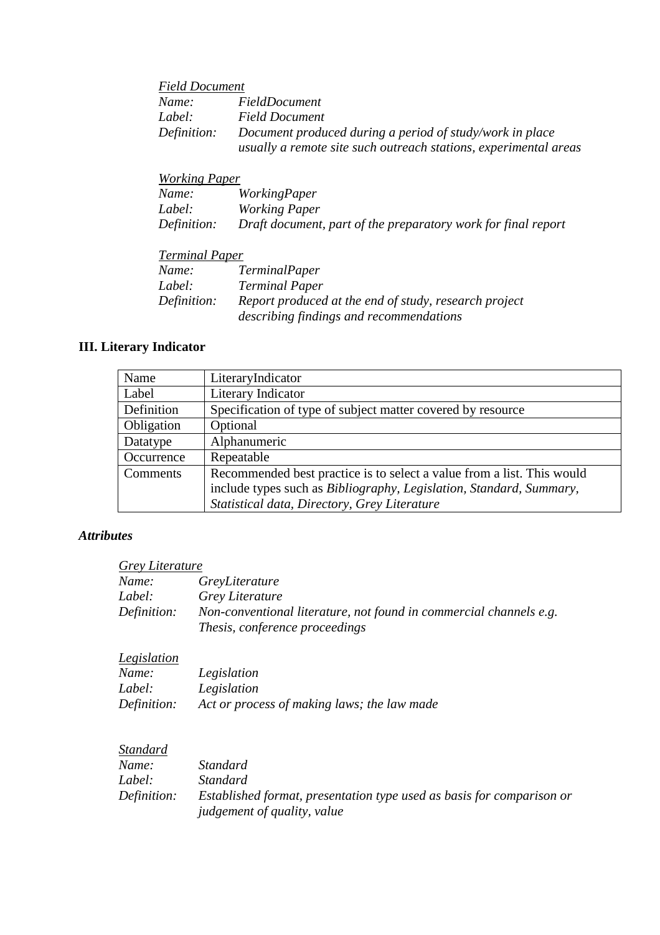|             | <b>Field Document</b>                                                                                                        |  |
|-------------|------------------------------------------------------------------------------------------------------------------------------|--|
| Name:       | FieldDocument                                                                                                                |  |
| Label:      | <b>Field Document</b>                                                                                                        |  |
| Definition: | Document produced during a period of study/work in place<br>usually a remote site such outreach stations, experimental areas |  |

| Working Paper |                                                               |
|---------------|---------------------------------------------------------------|
| Name:         | <i>WorkingPaper</i>                                           |
| Label:        | Working Paper                                                 |
| Definition:   | Draft document, part of the preparatory work for final report |

#### *Terminal Paper*

| Name:       | <i>TerminalPaper</i>                                                                             |
|-------------|--------------------------------------------------------------------------------------------------|
| Label:      | <b>Terminal Paper</b>                                                                            |
| Definition: | Report produced at the end of study, research project<br>describing findings and recommendations |

### **III. Literary Indicator**

| Name       | LiteraryIndicator                                                      |
|------------|------------------------------------------------------------------------|
| Label      | Literary Indicator                                                     |
| Definition | Specification of type of subject matter covered by resource            |
| Obligation | Optional                                                               |
| Datatype   | Alphanumeric                                                           |
| Occurrence | Repeatable                                                             |
| Comments   | Recommended best practice is to select a value from a list. This would |
|            | include types such as Bibliography, Legislation, Standard, Summary,    |
|            | Statistical data, Directory, Grey Literature                           |

#### *Attributes*

| Name:       | GreyLiterature                                                                                       |
|-------------|------------------------------------------------------------------------------------------------------|
| Label:      | Grey Literature                                                                                      |
| Definition: | Non-conventional literature, not found in commercial channels e.g.<br>Thesis, conference proceedings |

### *Legislation*

| Name:       | Legislation                                 |
|-------------|---------------------------------------------|
| Label:      | Legislation                                 |
| Definition: | Act or process of making laws; the law made |

#### *Standard Name: Standard Label: Standard Definition: Established format, presentation type used as basis for comparison or judgement of quality, value*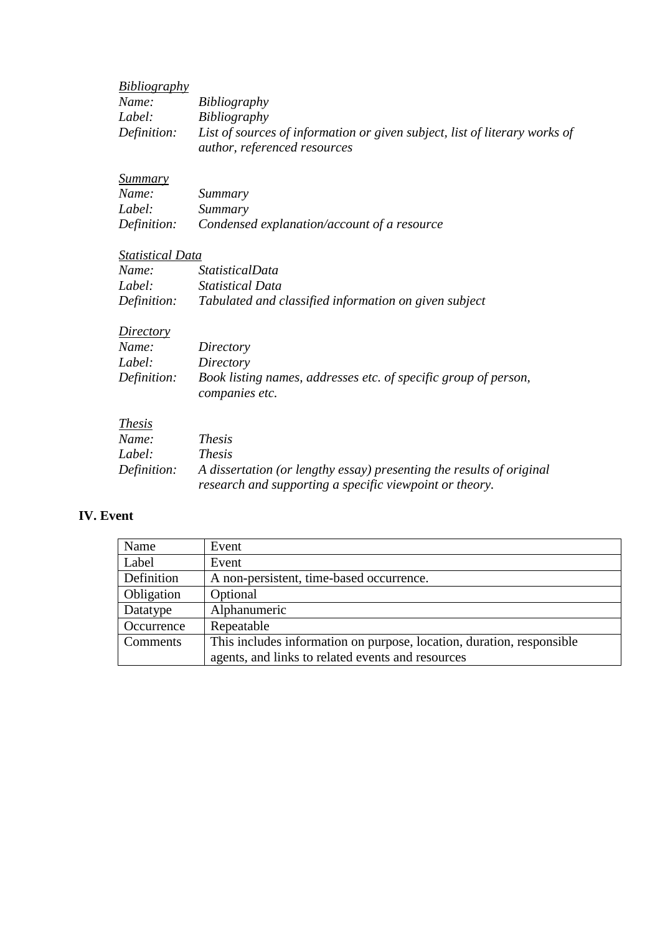| <b>Bibliography</b>     |                                                                                                                                 |
|-------------------------|---------------------------------------------------------------------------------------------------------------------------------|
| Name:                   | Bibliography                                                                                                                    |
| Label:                  | Bibliography                                                                                                                    |
| Definition:             | List of sources of information or given subject, list of literary works of<br>author, referenced resources                      |
| <b>Summary</b>          |                                                                                                                                 |
| Name:                   | Summary                                                                                                                         |
| Label:                  | Summary                                                                                                                         |
| Definition:             | Condensed explanation/account of a resource                                                                                     |
| <b>Statistical Data</b> |                                                                                                                                 |
| Name:                   | <i>StatisticalData</i>                                                                                                          |
| Label:                  | <b>Statistical Data</b>                                                                                                         |
| Definition:             | Tabulated and classified information on given subject                                                                           |
| Directory               |                                                                                                                                 |
| Name:                   | Directory                                                                                                                       |
| Label:                  | Directory                                                                                                                       |
| Definition:             | Book listing names, addresses etc. of specific group of person,<br>companies etc.                                               |
| <i>Thesis</i>           |                                                                                                                                 |
| Name:                   | <i>Thesis</i>                                                                                                                   |
| Label:                  | <i>Thesis</i>                                                                                                                   |
| Definition:             | A dissertation (or lengthy essay) presenting the results of original<br>research and supporting a specific viewpoint or theory. |

## **IV. Event**

| Name       | Event                                                                 |
|------------|-----------------------------------------------------------------------|
| Label      | Event                                                                 |
| Definition | A non-persistent, time-based occurrence.                              |
| Obligation | Optional                                                              |
| Datatype   | Alphanumeric                                                          |
| Occurrence | Repeatable                                                            |
| Comments   | This includes information on purpose, location, duration, responsible |
|            | agents, and links to related events and resources                     |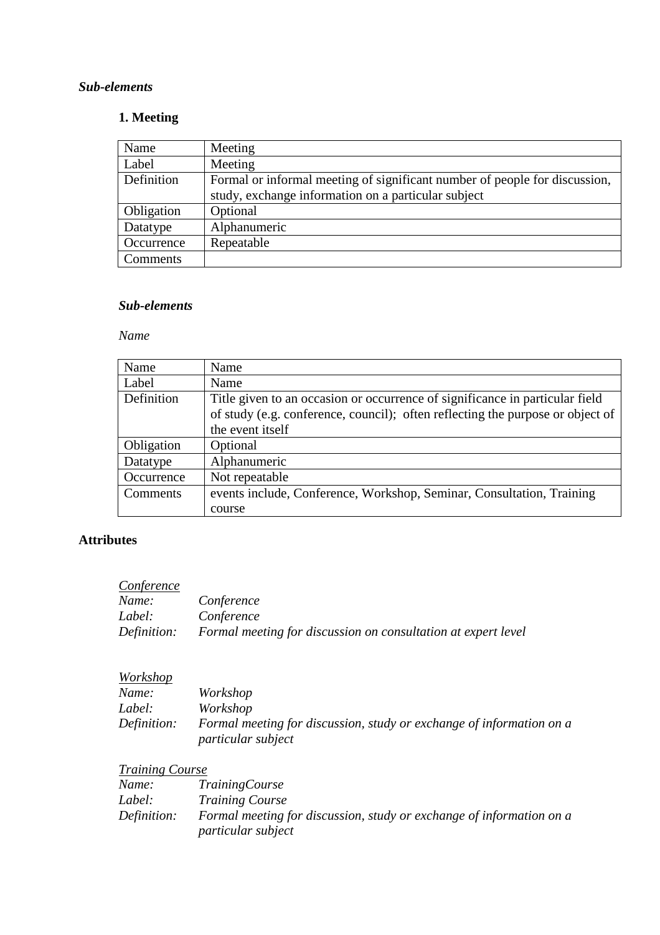## **1. Meeting**

| Name       | Meeting                                                                                                                           |
|------------|-----------------------------------------------------------------------------------------------------------------------------------|
| Label      | Meeting                                                                                                                           |
| Definition | Formal or informal meeting of significant number of people for discussion,<br>study, exchange information on a particular subject |
| Obligation | Optional                                                                                                                          |
| Datatype   | Alphanumeric                                                                                                                      |
| Occurrence | Repeatable                                                                                                                        |
| Comments   |                                                                                                                                   |

## *Sub-elements*

#### *Name*

| Name       | Name                                                                           |
|------------|--------------------------------------------------------------------------------|
| Label      | Name                                                                           |
| Definition | Title given to an occasion or occurrence of significance in particular field   |
|            | of study (e.g. conference, council); often reflecting the purpose or object of |
|            | the event itself                                                               |
| Obligation | Optional                                                                       |
| Datatype   | Alphanumeric                                                                   |
| Occurrence | Not repeatable                                                                 |
| Comments   | events include, Conference, Workshop, Seminar, Consultation, Training          |
|            | course                                                                         |

### **Attributes**

| Conference  |                                                               |
|-------------|---------------------------------------------------------------|
| Name:       | Conference                                                    |
| Label:      | Conference                                                    |
| Definition: | Formal meeting for discussion on consultation at expert level |

## *Workshop*

| Name:       | Workshop                                                                                          |
|-------------|---------------------------------------------------------------------------------------------------|
| Label:      | Workshop                                                                                          |
| Definition: | Formal meeting for discussion, study or exchange of information on a<br><i>particular subject</i> |

## *Training Course*

| Name:       | <i>TrainingCourse</i>                                                                      |
|-------------|--------------------------------------------------------------------------------------------|
| Label:      | <i>Training Course</i>                                                                     |
| Definition: | Formal meeting for discussion, study or exchange of information on a<br>particular subject |
|             |                                                                                            |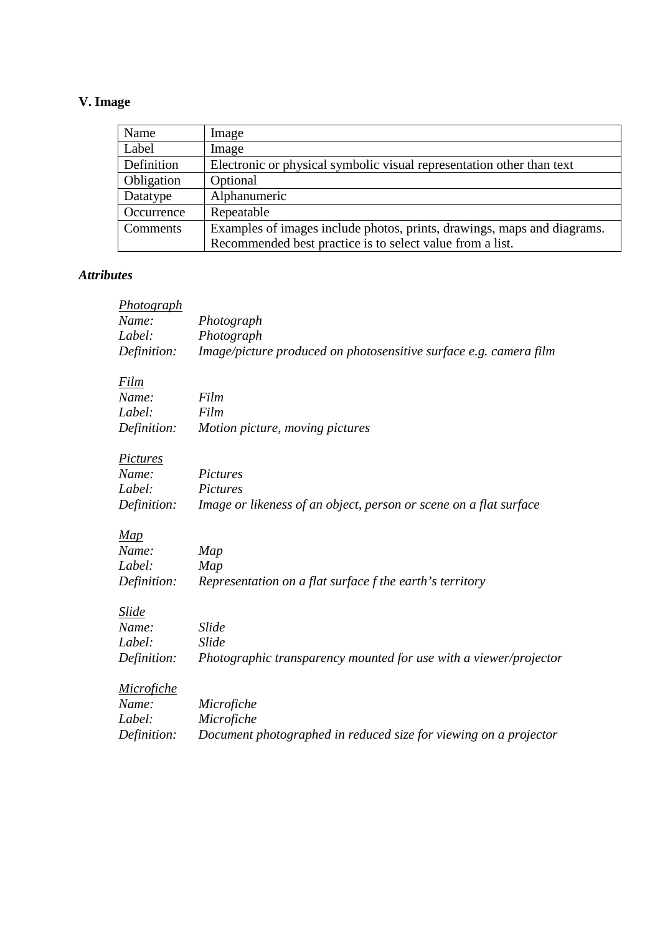## **V. Image**

| Name       | Image                                                                   |
|------------|-------------------------------------------------------------------------|
| Label      | Image                                                                   |
| Definition | Electronic or physical symbolic visual representation other than text   |
| Obligation | Optional                                                                |
| Datatype   | Alphanumeric                                                            |
| Occurrence | Repeatable                                                              |
| Comments   | Examples of images include photos, prints, drawings, maps and diagrams. |
|            | Recommended best practice is to select value from a list.               |

## *Attributes*

| Photograph        |                                                                   |
|-------------------|-------------------------------------------------------------------|
| Name:             | Photograph                                                        |
| Label:            | Photograph                                                        |
| Definition:       | Image/picture produced on photosensitive surface e.g. camera film |
| Film              |                                                                   |
| Name:             | Film                                                              |
| Label:            | Film                                                              |
| Definition:       | Motion picture, moving pictures                                   |
| Pictures          |                                                                   |
| Name:             | Pictures                                                          |
| Label:            | Pictures                                                          |
| Definition:       | Image or likeness of an object, person or scene on a flat surface |
| Map               |                                                                   |
| Name:             | Map                                                               |
| Label:            | Map                                                               |
| Definition:       | Representation on a flat surface f the earth's territory          |
| Slide             |                                                                   |
| Name:             | <b>Slide</b>                                                      |
| Label:            | <b>Slide</b>                                                      |
| Definition:       | Photographic transparency mounted for use with a viewer/projector |
| <b>Microfiche</b> |                                                                   |
| Name:             | Microfiche                                                        |
| Label:            | Microfiche                                                        |
| Definition:       | Document photographed in reduced size for viewing on a projector  |
|                   |                                                                   |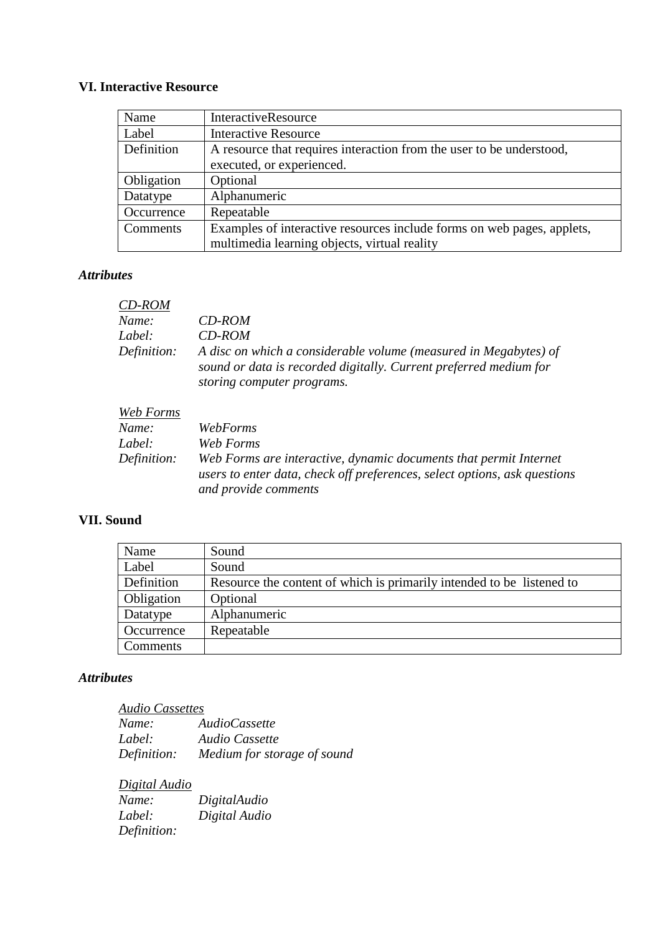## **VI. Interactive Resource**

| Name                                                                               | <b>InteractiveResource</b>                                             |  |
|------------------------------------------------------------------------------------|------------------------------------------------------------------------|--|
| Label                                                                              | <b>Interactive Resource</b>                                            |  |
| Definition<br>A resource that requires interaction from the user to be understood, |                                                                        |  |
|                                                                                    | executed, or experienced.                                              |  |
| Obligation                                                                         | Optional                                                               |  |
| Datatype                                                                           | Alphanumeric                                                           |  |
| Occurrence                                                                         | Repeatable                                                             |  |
| Comments                                                                           | Examples of interactive resources include forms on web pages, applets, |  |
|                                                                                    | multimedia learning objects, virtual reality                           |  |

## *Attributes*

| CD-ROM      |                                                                                                                                                                     |
|-------------|---------------------------------------------------------------------------------------------------------------------------------------------------------------------|
| Name:       | CD-ROM                                                                                                                                                              |
| Label:      | CD-ROM                                                                                                                                                              |
| Definition: | A disc on which a considerable volume (measured in Megabytes) of<br>sound or data is recorded digitally. Current preferred medium for<br>storing computer programs. |

| Web Forms   |                                                                                                                                                |
|-------------|------------------------------------------------------------------------------------------------------------------------------------------------|
| Name:       | WebForms                                                                                                                                       |
| Label:      | Web Forms                                                                                                                                      |
| Definition: | Web Forms are interactive, dynamic documents that permit Internet<br>users to enter data, check off preferences, select options, ask questions |
|             | and provide comments                                                                                                                           |

## **VII. Sound**

| Name       | Sound                                                                 |
|------------|-----------------------------------------------------------------------|
| Label      | Sound                                                                 |
| Definition | Resource the content of which is primarily intended to be listened to |
| Obligation | Optional                                                              |
| Datatype   | Alphanumeric                                                          |
| Occurrence | Repeatable                                                            |
| Comments   |                                                                       |

#### *Attributes*

| <b>Audio Cassettes</b> |                                         |
|------------------------|-----------------------------------------|
| Name:                  | <i>AudioCassette</i>                    |
| Label:                 | Audio Cassette                          |
|                        | Definition: Medium for storage of sound |

| Digital Audio |               |
|---------------|---------------|
| Name:         | DigitalAudio  |
| Label:        | Digital Audio |
| Definition:   |               |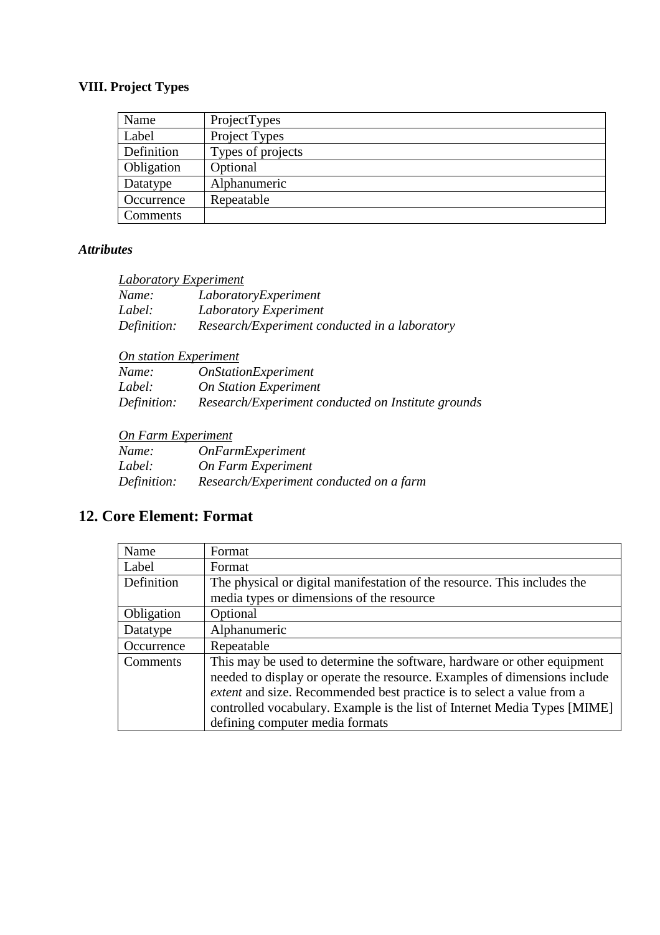# **VIII. Project Types**

| Name       | ProjectTypes      |
|------------|-------------------|
| Label      | Project Types     |
| Definition | Types of projects |
| Obligation | Optional          |
| Datatype   | Alphanumeric      |
| Occurrence | Repeatable        |
| Comments   |                   |

#### *Attributes*

| Name:       | LaboratoryExperiment                          |
|-------------|-----------------------------------------------|
| Label:      | Laboratory Experiment                         |
| Definition: | Research/Experiment conducted in a laboratory |

| Name:       | <i><b>OnStationExperiment</b></i>                  |
|-------------|----------------------------------------------------|
| Label:      | <b>On Station Experiment</b>                       |
| Definition: | Research/Experiment conducted on Institute grounds |

## *On Farm Experiment*

| Name:       | <i><b>OnFarmExperiment</b></i>          |
|-------------|-----------------------------------------|
| Label:      | On Farm Experiment                      |
| Definition: | Research/Experiment conducted on a farm |

# **12. Core Element: Format**

| Name       | Format                                                                    |
|------------|---------------------------------------------------------------------------|
| Label      | Format                                                                    |
| Definition | The physical or digital manifestation of the resource. This includes the  |
|            | media types or dimensions of the resource                                 |
| Obligation | Optional                                                                  |
| Datatype   | Alphanumeric                                                              |
| Occurrence | Repeatable                                                                |
| Comments   | This may be used to determine the software, hardware or other equipment   |
|            | needed to display or operate the resource. Examples of dimensions include |
|            | extent and size. Recommended best practice is to select a value from a    |
|            | controlled vocabulary. Example is the list of Internet Media Types [MIME] |
|            | defining computer media formats                                           |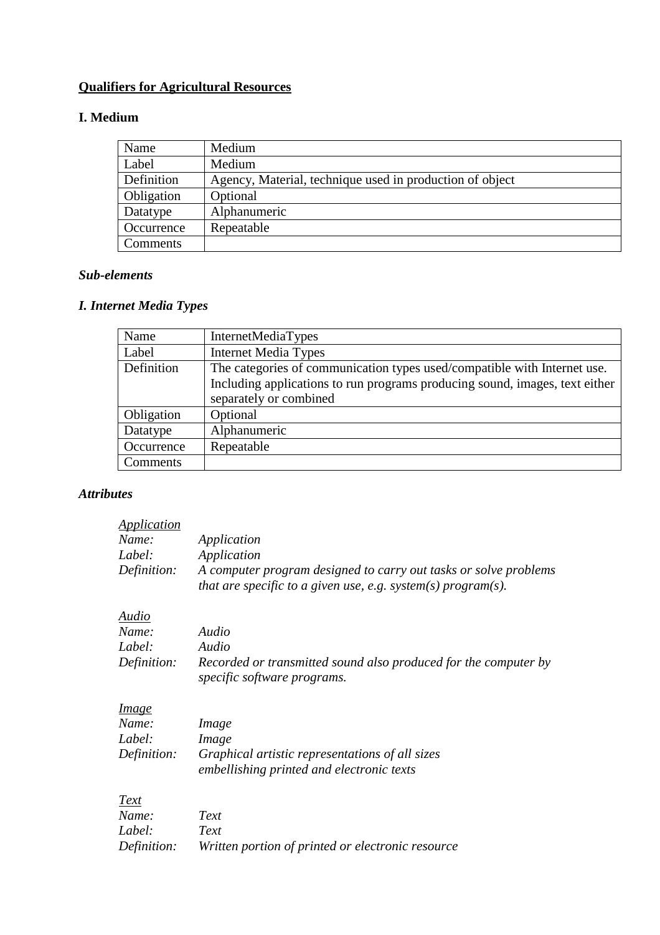# **Qualifiers for Agricultural Resources**

## **I. Medium**

| Name       | Medium                                                   |
|------------|----------------------------------------------------------|
| Label      | Medium                                                   |
| Definition | Agency, Material, technique used in production of object |
| Obligation | Optional                                                 |
| Datatype   | Alphanumeric                                             |
| Occurrence | Repeatable                                               |
| Comments   |                                                          |

#### *Sub-elements*

# *I. Internet Media Types*

| Name       | InternetMediaTypes                                                          |
|------------|-----------------------------------------------------------------------------|
| Label      | <b>Internet Media Types</b>                                                 |
| Definition | The categories of communication types used/compatible with Internet use.    |
|            | Including applications to run programs producing sound, images, text either |
|            | separately or combined                                                      |
| Obligation | Optional                                                                    |
| Datatype   | Alphanumeric                                                                |
| Occurrence | Repeatable                                                                  |
| Comments   |                                                                             |

### *Attributes*

| <i><u><b>Application</b></u></i> |                                                                                                                                  |
|----------------------------------|----------------------------------------------------------------------------------------------------------------------------------|
| Name:                            | Application                                                                                                                      |
| Label:                           | Application                                                                                                                      |
| Definition:                      | A computer program designed to carry out tasks or solve problems<br>that are specific to a given use, e.g. system(s) program(s). |
| Audio                            |                                                                                                                                  |
| Name:                            | Audio                                                                                                                            |
| Label:                           | Audio                                                                                                                            |
| Definition:                      | Recorded or transmitted sound also produced for the computer by<br>specific software programs.                                   |
| <u>Image</u>                     |                                                                                                                                  |
| Name:                            | Image                                                                                                                            |
| Label:                           | <i>Image</i>                                                                                                                     |
| Definition:                      | Graphical artistic representations of all sizes<br>embellishing printed and electronic texts                                     |
| Text                             |                                                                                                                                  |
| Name:                            | Text                                                                                                                             |
| Label:                           | Text                                                                                                                             |
| Definition:                      | Written portion of printed or electronic resource                                                                                |
|                                  |                                                                                                                                  |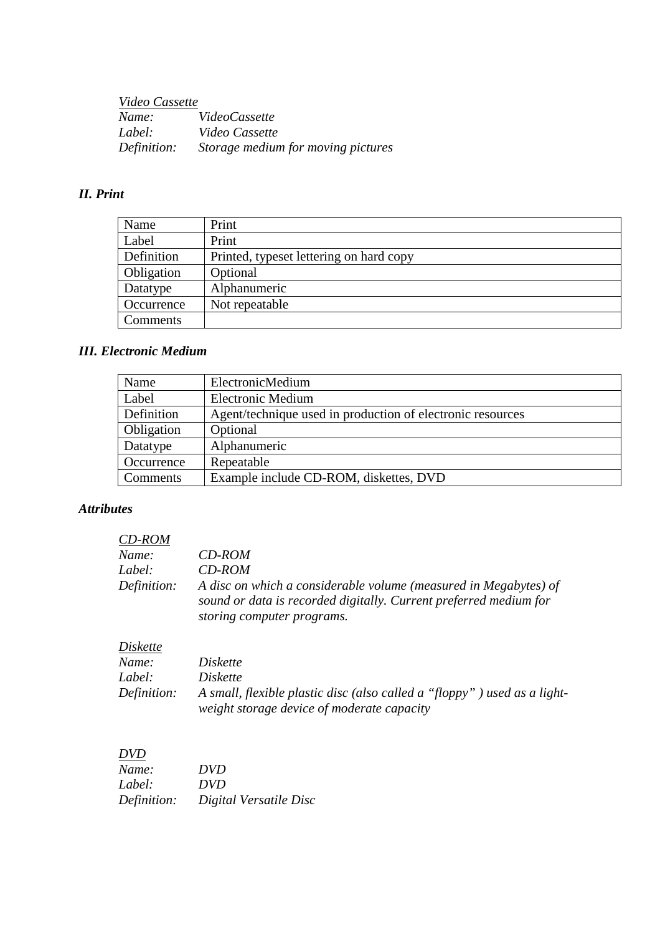*Video Cassette*  $Video Cassette$  *Label: Video Cassette Definition: Storage medium for moving pictures* 

#### *II. Print*

| Name              | Print                                   |
|-------------------|-----------------------------------------|
| Label             | Print                                   |
| Definition        | Printed, typeset lettering on hard copy |
| <b>Obligation</b> | Optional                                |
| Datatype          | Alphanumeric                            |
| Occurrence        | Not repeatable                          |
| Comments          |                                         |

#### *III. Electronic Medium*

| Name       | ElectronicMedium                                           |
|------------|------------------------------------------------------------|
| Label      | <b>Electronic Medium</b>                                   |
| Definition | Agent/technique used in production of electronic resources |
| Obligation | Optional                                                   |
| Datatype   | Alphanumeric                                               |
| Occurrence | Repeatable                                                 |
| Comments   | Example include CD-ROM, diskettes, DVD                     |

### *Attributes*

| CD-ROM      |                                                                                                                                                                     |
|-------------|---------------------------------------------------------------------------------------------------------------------------------------------------------------------|
| Name:       | CD-ROM                                                                                                                                                              |
| Label:      | $CD$ -ROM                                                                                                                                                           |
| Definition: | A disc on which a considerable volume (measured in Megabytes) of<br>sound or data is recorded digitally. Current preferred medium for<br>storing computer programs. |

#### *Diskette*

| Name:       | <i>Diskette</i>                                                          |
|-------------|--------------------------------------------------------------------------|
| Label:      | Diskette                                                                 |
| Definition: | A small, flexible plastic disc (also called a "floppy") used as a light- |
|             | weight storage device of moderate capacity                               |

#### *DVD*

| Name:       | <i>DVD</i>             |
|-------------|------------------------|
| Label:      | DVD.                   |
| Definition: | Digital Versatile Disc |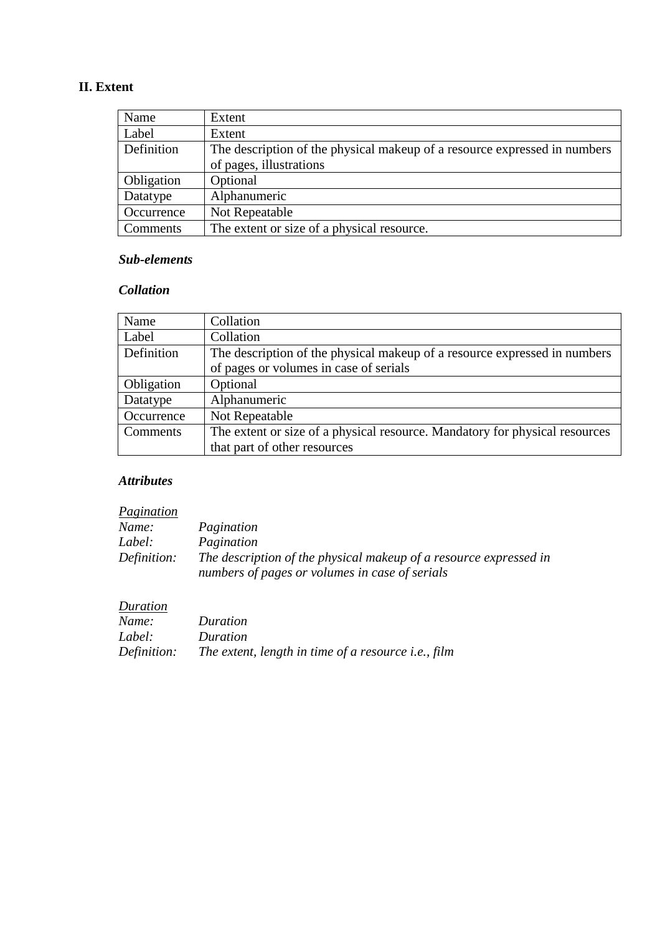## **II. Extent**

| Name       | Extent                                                                    |
|------------|---------------------------------------------------------------------------|
| Label      | Extent                                                                    |
| Definition | The description of the physical makeup of a resource expressed in numbers |
|            | of pages, illustrations                                                   |
| Obligation | Optional                                                                  |
| Datatype   | Alphanumeric                                                              |
| Occurrence | Not Repeatable                                                            |
| Comments   | The extent or size of a physical resource.                                |

#### *Sub-elements*

#### *Collation*

| Name       | Collation                                                                   |
|------------|-----------------------------------------------------------------------------|
| Label      | Collation                                                                   |
| Definition | The description of the physical makeup of a resource expressed in numbers   |
|            | of pages or volumes in case of serials                                      |
| Obligation | Optional                                                                    |
| Datatype   | Alphanumeric                                                                |
| Occurrence | Not Repeatable                                                              |
| Comments   | The extent or size of a physical resource. Mandatory for physical resources |
|            | that part of other resources                                                |

### *Attributes*

| Pagination  |                                                                                                                     |
|-------------|---------------------------------------------------------------------------------------------------------------------|
| Name:       | Pagination                                                                                                          |
| Label:      | Pagination                                                                                                          |
| Definition: | The description of the physical makeup of a resource expressed in<br>numbers of pages or volumes in case of serials |

| Duration    |                                                     |
|-------------|-----------------------------------------------------|
| Name:       | Duration                                            |
| Label:      | Duration                                            |
| Definition: | The extent, length in time of a resource i.e., film |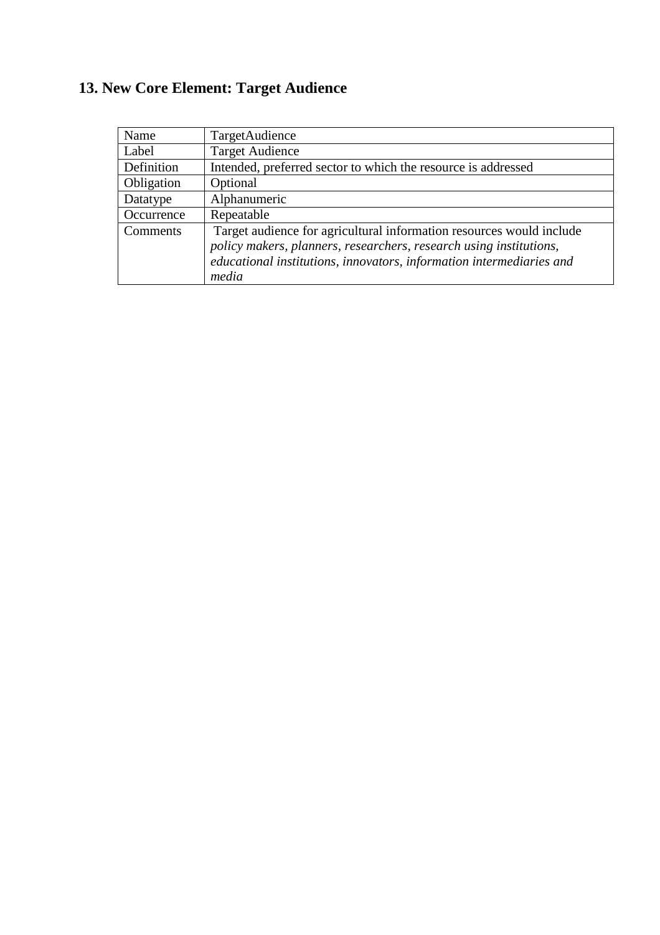# **13. New Core Element: Target Audience**

| Name       | TargetAudience                                                       |
|------------|----------------------------------------------------------------------|
| Label      | <b>Target Audience</b>                                               |
| Definition | Intended, preferred sector to which the resource is addressed        |
| Obligation | Optional                                                             |
| Datatype   | Alphanumeric                                                         |
| Occurrence | Repeatable                                                           |
| Comments   | Target audience for agricultural information resources would include |
|            | policy makers, planners, researchers, research using institutions,   |
|            | educational institutions, innovators, information intermediaries and |
|            | media                                                                |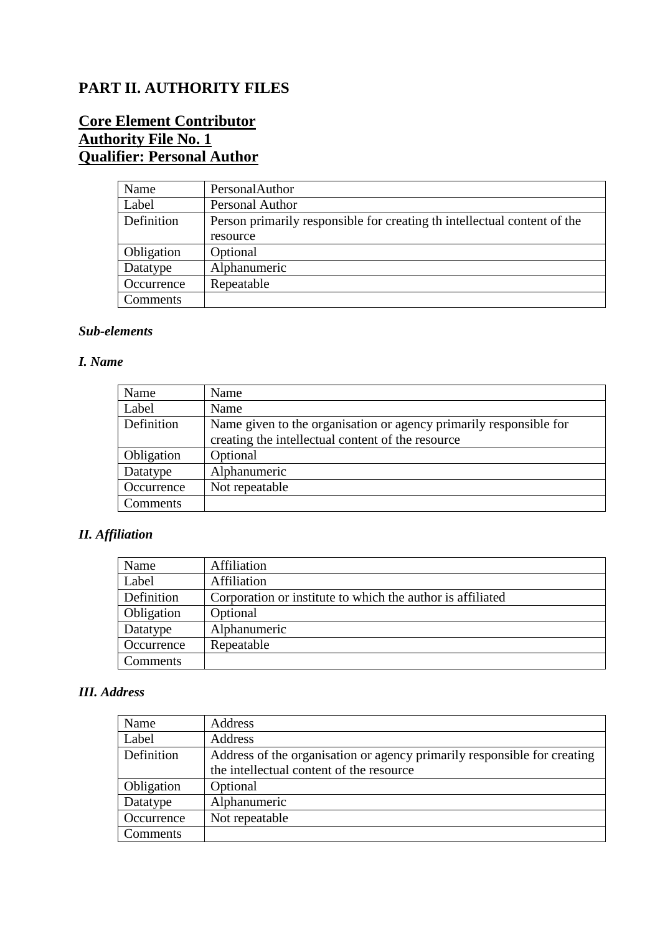# **PART II. AUTHORITY FILES**

# **Core Element Contributor Authority File No. 1 Qualifier: Personal Author**

| Name       | PersonalAuthor                                                            |
|------------|---------------------------------------------------------------------------|
| Label      | Personal Author                                                           |
| Definition | Person primarily responsible for creating the intellectual content of the |
|            | resource                                                                  |
| Obligation | Optional                                                                  |
| Datatype   | Alphanumeric                                                              |
| Occurrence | Repeatable                                                                |
| Comments   |                                                                           |

#### *Sub-elements*

#### *I. Name*

| Name       | Name                                                               |
|------------|--------------------------------------------------------------------|
| Label      | Name                                                               |
| Definition | Name given to the organisation or agency primarily responsible for |
|            | creating the intellectual content of the resource                  |
| Obligation | Optional                                                           |
| Datatype   | Alphanumeric                                                       |
| Occurrence | Not repeatable                                                     |
| Comments   |                                                                    |

## *II. Affiliation*

| Name       | Affiliation                                                |
|------------|------------------------------------------------------------|
| Label      | Affiliation                                                |
| Definition | Corporation or institute to which the author is affiliated |
| Obligation | Optional                                                   |
| Datatype   | Alphanumeric                                               |
| Occurrence | Repeatable                                                 |
| Comments   |                                                            |

## *III. Address*

| Name       | Address                                                                  |
|------------|--------------------------------------------------------------------------|
| Label      | Address                                                                  |
| Definition | Address of the organisation or agency primarily responsible for creating |
|            | the intellectual content of the resource                                 |
| Obligation | Optional                                                                 |
| Datatype   | Alphanumeric                                                             |
| Occurrence | Not repeatable                                                           |
| Comments   |                                                                          |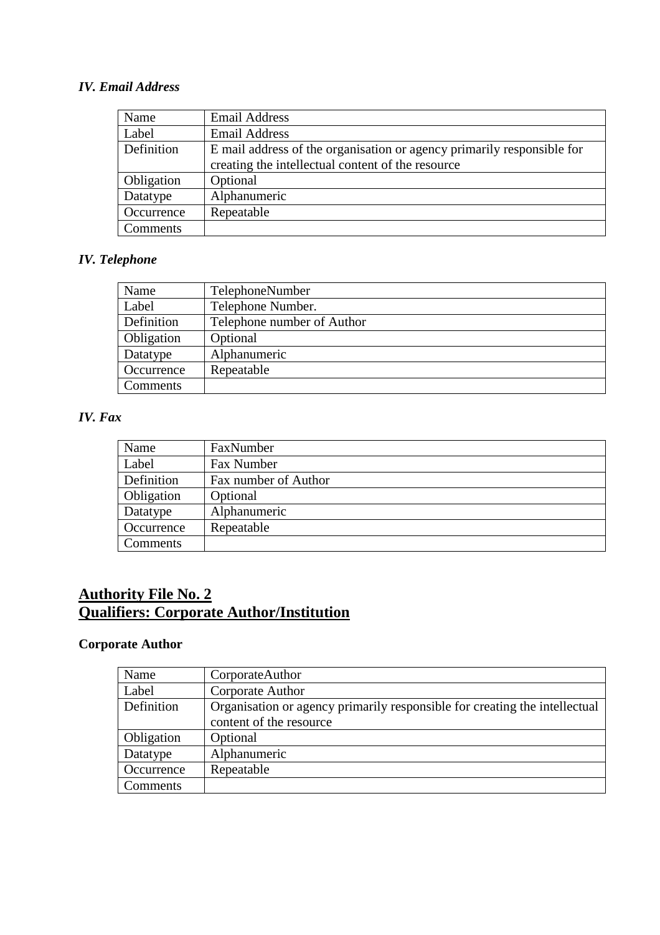#### *IV. Email Address*

| Name       | <b>Email Address</b>                                                   |
|------------|------------------------------------------------------------------------|
| Label      | <b>Email Address</b>                                                   |
| Definition | E mail address of the organisation or agency primarily responsible for |
|            | creating the intellectual content of the resource                      |
| Obligation | Optional                                                               |
| Datatype   | Alphanumeric                                                           |
| Occurrence | Repeatable                                                             |
| Comments   |                                                                        |

## *IV. Telephone*

| Name       | TelephoneNumber            |
|------------|----------------------------|
| Label      | Telephone Number.          |
| Definition | Telephone number of Author |
| Obligation | Optional                   |
| Datatype   | Alphanumeric               |
| Occurrence | Repeatable                 |
| Comments   |                            |

#### *IV. Fax*

| Name       | FaxNumber            |
|------------|----------------------|
| Label      | Fax Number           |
| Definition | Fax number of Author |
| Obligation | Optional             |
| Datatype   | Alphanumeric         |
| Occurrence | Repeatable           |
| Comments   |                      |

# **Authority File No. 2 Qualifiers: Corporate Author/Institution**

# **Corporate Author**

| Name       | CorporateAuthor                                                            |
|------------|----------------------------------------------------------------------------|
| Label      | Corporate Author                                                           |
| Definition | Organisation or agency primarily responsible for creating the intellectual |
|            | content of the resource                                                    |
| Obligation | Optional                                                                   |
| Datatype   | Alphanumeric                                                               |
| Occurrence | Repeatable                                                                 |
| Comments   |                                                                            |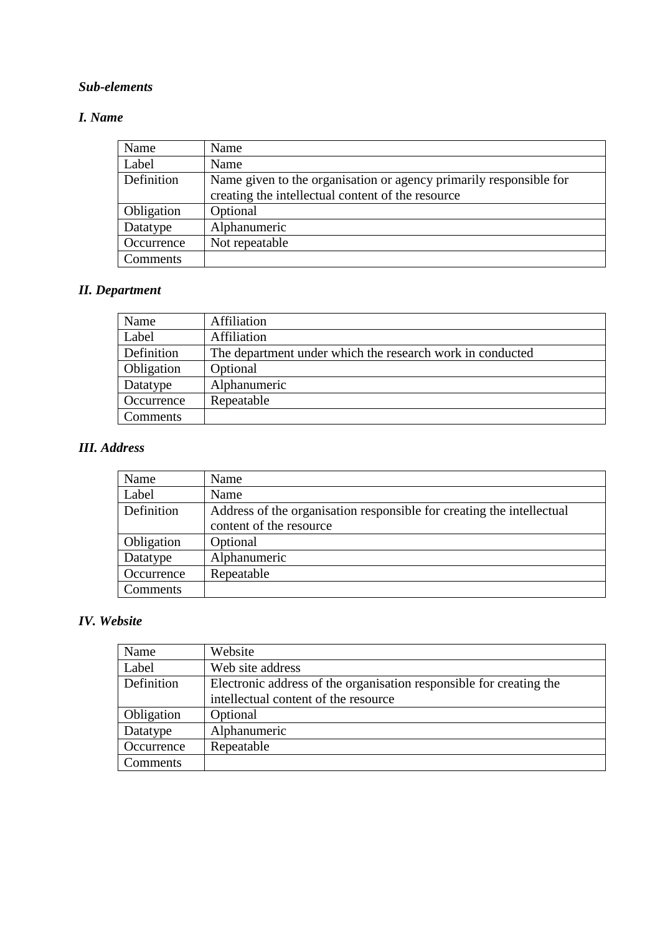### *I. Name*

| Name       | Name                                                                                                                    |
|------------|-------------------------------------------------------------------------------------------------------------------------|
| Label      | Name                                                                                                                    |
| Definition | Name given to the organisation or agency primarily responsible for<br>creating the intellectual content of the resource |
| Obligation | Optional                                                                                                                |
| Datatype   | Alphanumeric                                                                                                            |
| Occurrence | Not repeatable                                                                                                          |
| Comments   |                                                                                                                         |

# *II. Department*

| Name       | Affiliation                                               |
|------------|-----------------------------------------------------------|
| Label      | Affiliation                                               |
| Definition | The department under which the research work in conducted |
| Obligation | Optional                                                  |
| Datatype   | Alphanumeric                                              |
| Occurrence | Repeatable                                                |
| Comments   |                                                           |

## *III. Address*

| Name       | Name                                                                  |
|------------|-----------------------------------------------------------------------|
| Label      | Name                                                                  |
| Definition | Address of the organisation responsible for creating the intellectual |
|            | content of the resource                                               |
| Obligation | Optional                                                              |
| Datatype   | Alphanumeric                                                          |
| Occurrence | Repeatable                                                            |
| Comments   |                                                                       |

## *IV. Website*

| Name       | Website                                                             |
|------------|---------------------------------------------------------------------|
| Label      | Web site address                                                    |
| Definition | Electronic address of the organisation responsible for creating the |
|            | intellectual content of the resource                                |
| Obligation | Optional                                                            |
| Datatype   | Alphanumeric                                                        |
| Occurrence | Repeatable                                                          |
| Comments   |                                                                     |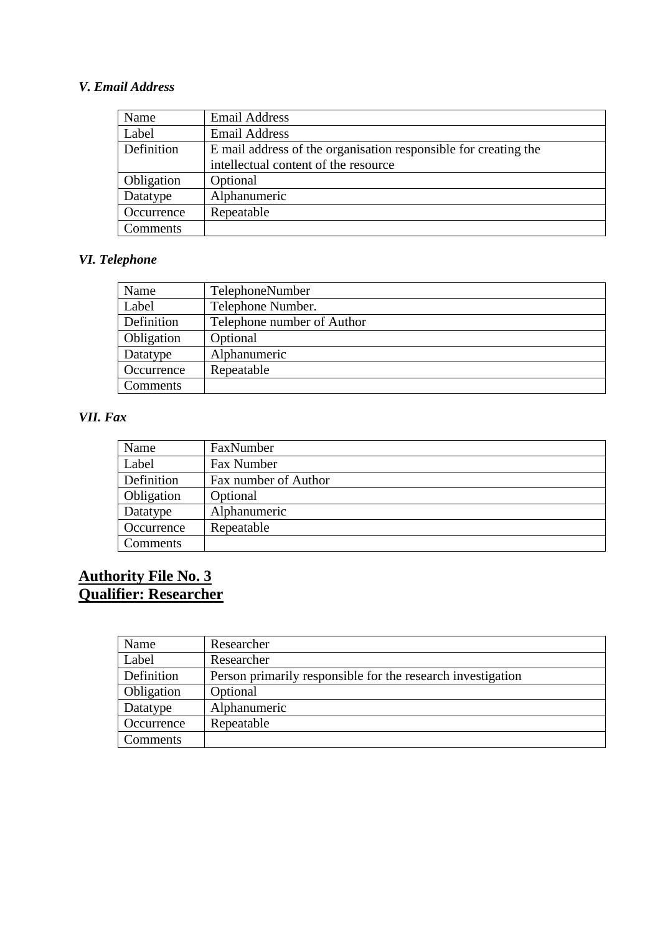## *V. Email Address*

| Name       | <b>Email Address</b>                                            |
|------------|-----------------------------------------------------------------|
| Label      | <b>Email Address</b>                                            |
| Definition | E mail address of the organisation responsible for creating the |
|            | intellectual content of the resource                            |
| Obligation | Optional                                                        |
| Datatype   | Alphanumeric                                                    |
| Occurrence | Repeatable                                                      |
| Comments   |                                                                 |

# *VI. Telephone*

| Name       | TelephoneNumber            |
|------------|----------------------------|
| Label      | Telephone Number.          |
| Definition | Telephone number of Author |
| Obligation | Optional                   |
| Datatype   | Alphanumeric               |
| Occurrence | Repeatable                 |
| Comments   |                            |

#### *VII. Fax*

| Name       | FaxNumber            |
|------------|----------------------|
| Label      | Fax Number           |
| Definition | Fax number of Author |
| Obligation | Optional             |
| Datatype   | Alphanumeric         |
| Occurrence | Repeatable           |
| Comments   |                      |

## **Authority File No. 3 Qualifier: Researcher**

| Name       | Researcher                                                  |
|------------|-------------------------------------------------------------|
| Label      | Researcher                                                  |
| Definition | Person primarily responsible for the research investigation |
| Obligation | Optional                                                    |
| Datatype   | Alphanumeric                                                |
| Occurrence | Repeatable                                                  |
| Comments   |                                                             |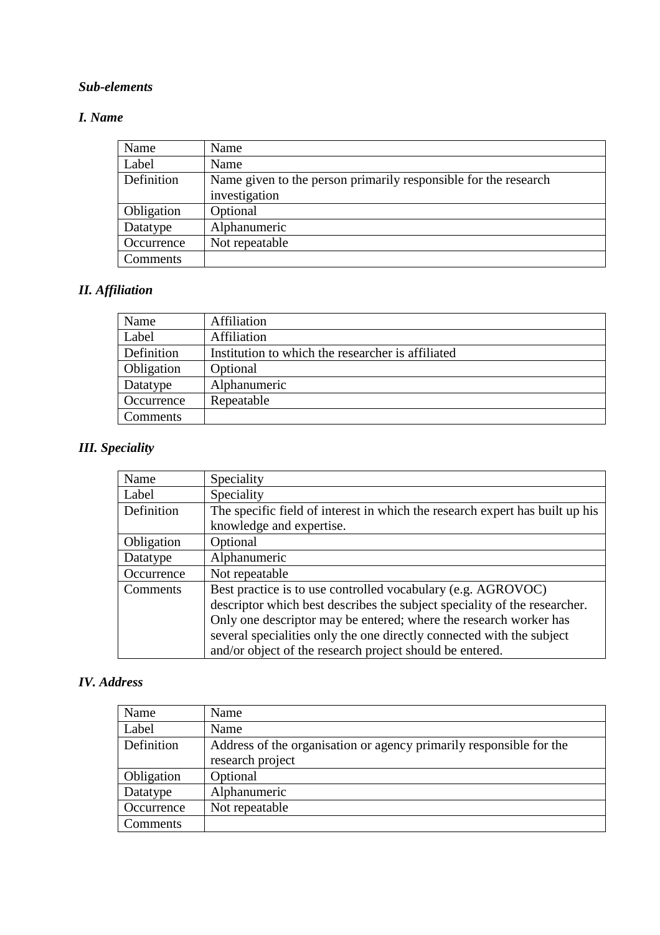### *I. Name*

| Name       | Name                                                                             |
|------------|----------------------------------------------------------------------------------|
| Label      | Name                                                                             |
| Definition | Name given to the person primarily responsible for the research<br>investigation |
| Obligation | Optional                                                                         |
| Datatype   | Alphanumeric                                                                     |
| Occurrence | Not repeatable                                                                   |
| Comments   |                                                                                  |

# *II. Affiliation*

| Name       | Affiliation                                       |
|------------|---------------------------------------------------|
| Label      | Affiliation                                       |
| Definition | Institution to which the researcher is affiliated |
| Obligation | Optional                                          |
| Datatype   | Alphanumeric                                      |
| Occurrence | Repeatable                                        |
| Comments   |                                                   |

# *III. Speciality*

| Name       | Speciality                                                                   |
|------------|------------------------------------------------------------------------------|
| Label      | Speciality                                                                   |
| Definition | The specific field of interest in which the research expert has built up his |
|            | knowledge and expertise.                                                     |
| Obligation | Optional                                                                     |
| Datatype   | Alphanumeric                                                                 |
| Occurrence | Not repeatable                                                               |
| Comments   | Best practice is to use controlled vocabulary (e.g. AGROVOC)                 |
|            | descriptor which best describes the subject speciality of the researcher.    |
|            | Only one descriptor may be entered; where the research worker has            |
|            | several specialities only the one directly connected with the subject        |
|            | and/or object of the research project should be entered.                     |

## *IV. Address*

| Name       | Name                                                                |
|------------|---------------------------------------------------------------------|
| Label      | Name                                                                |
| Definition | Address of the organisation or agency primarily responsible for the |
|            | research project                                                    |
| Obligation | Optional                                                            |
| Datatype   | Alphanumeric                                                        |
| Occurrence | Not repeatable                                                      |
| Comments   |                                                                     |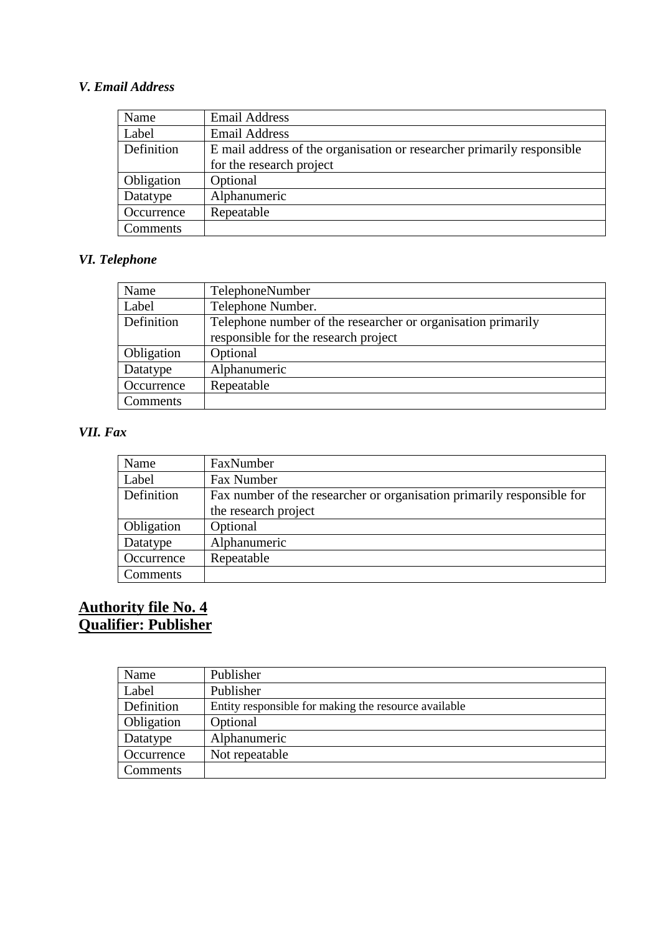## *V. Email Address*

| Name       | <b>Email Address</b>                                                   |
|------------|------------------------------------------------------------------------|
| Label      | <b>Email Address</b>                                                   |
| Definition | E mail address of the organisation or researcher primarily responsible |
|            | for the research project                                               |
| Obligation | Optional                                                               |
| Datatype   | Alphanumeric                                                           |
| Occurrence | Repeatable                                                             |
| Comments   |                                                                        |

# *VI. Telephone*

| Name       | TelephoneNumber                                              |
|------------|--------------------------------------------------------------|
| Label      | Telephone Number.                                            |
| Definition | Telephone number of the researcher or organisation primarily |
|            | responsible for the research project                         |
| Obligation | Optional                                                     |
| Datatype   | Alphanumeric                                                 |
| Occurrence | Repeatable                                                   |
| Comments   |                                                              |

## *VII. Fax*

| Name       | FaxNumber                                                              |
|------------|------------------------------------------------------------------------|
| Label      | Fax Number                                                             |
| Definition | Fax number of the researcher or organisation primarily responsible for |
|            | the research project                                                   |
| Obligation | Optional                                                               |
| Datatype   | Alphanumeric                                                           |
| Occurrence | Repeatable                                                             |
| Comments   |                                                                        |

## **Authority file No. 4 Qualifier: Publisher**

| Name       | Publisher                                            |
|------------|------------------------------------------------------|
| Label      | Publisher                                            |
| Definition | Entity responsible for making the resource available |
| Obligation | Optional                                             |
| Datatype   | Alphanumeric                                         |
| Occurrence | Not repeatable                                       |
| Comments   |                                                      |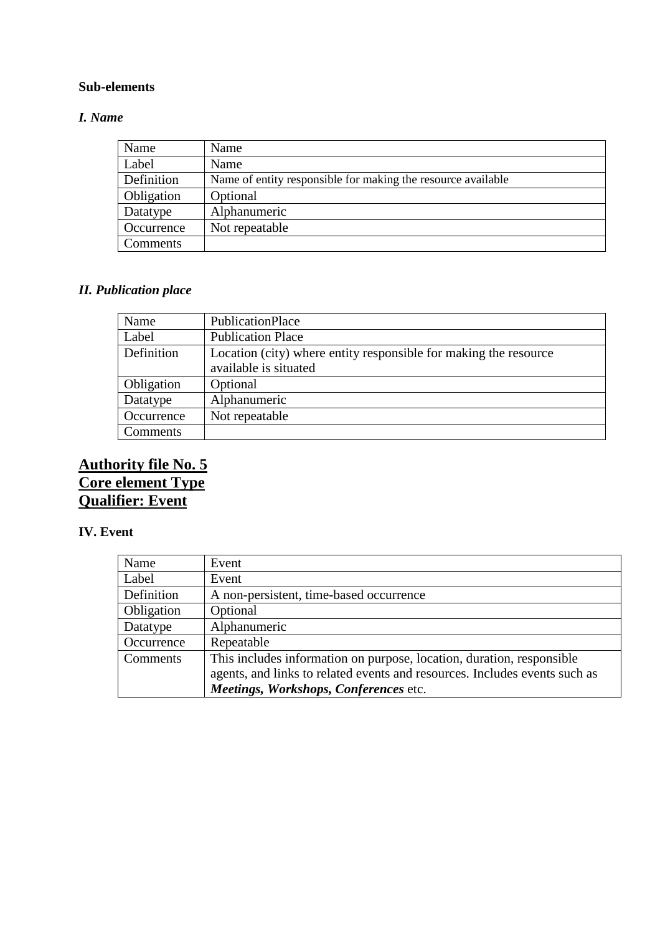#### *I. Name*

| Name       | Name                                                         |
|------------|--------------------------------------------------------------|
| Label      | Name                                                         |
| Definition | Name of entity responsible for making the resource available |
| Obligation | Optional                                                     |
| Datatype   | Alphanumeric                                                 |
| Occurrence | Not repeatable                                               |
| Comments   |                                                              |

#### *II. Publication place*

| Name       | PublicationPlace                                                                          |
|------------|-------------------------------------------------------------------------------------------|
| Label      | <b>Publication Place</b>                                                                  |
| Definition | Location (city) where entity responsible for making the resource<br>available is situated |
| Obligation | Optional                                                                                  |
| Datatype   | Alphanumeric                                                                              |
| Occurrence | Not repeatable                                                                            |
| Comments   |                                                                                           |

## **Authority file No. 5 Core element Type Qualifier: Event**

#### **IV. Event**

| Name       | Event                                                                      |
|------------|----------------------------------------------------------------------------|
| Label      | Event                                                                      |
| Definition | A non-persistent, time-based occurrence                                    |
| Obligation | Optional                                                                   |
| Datatype   | Alphanumeric                                                               |
| Occurrence | Repeatable                                                                 |
| Comments   | This includes information on purpose, location, duration, responsible      |
|            | agents, and links to related events and resources. Includes events such as |
|            | Meetings, Workshops, Conferences etc.                                      |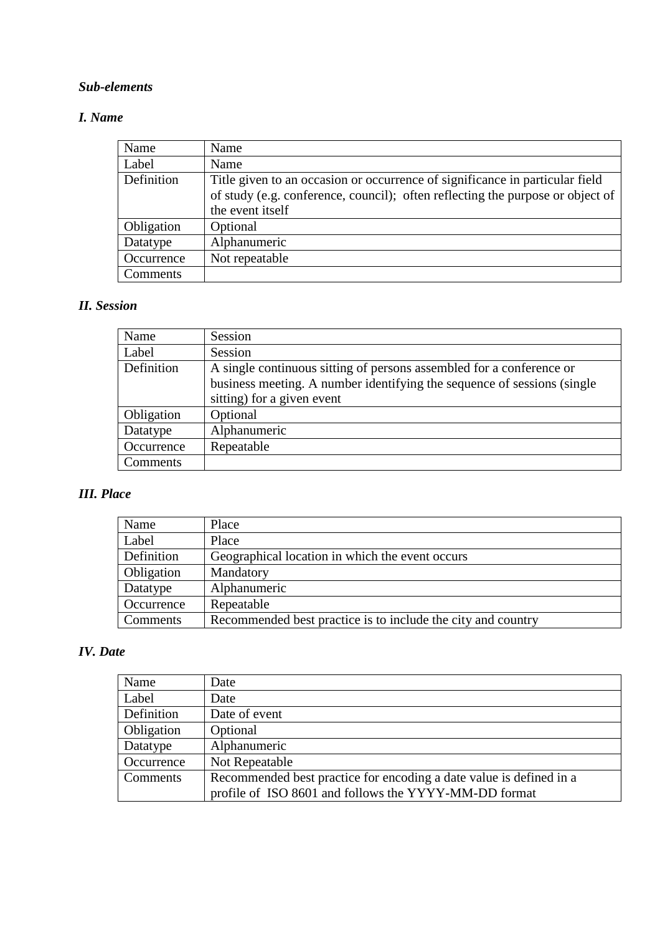#### *I. Name*

| Name       | Name                                                                           |
|------------|--------------------------------------------------------------------------------|
| Label      | Name                                                                           |
| Definition | Title given to an occasion or occurrence of significance in particular field   |
|            | of study (e.g. conference, council); often reflecting the purpose or object of |
|            | the event itself                                                               |
| Obligation | Optional                                                                       |
| Datatype   | Alphanumeric                                                                   |
| Occurrence | Not repeatable                                                                 |
| Comments   |                                                                                |

## *II. Session*

| Name       | Session                                                                 |
|------------|-------------------------------------------------------------------------|
| Label      | Session                                                                 |
| Definition | A single continuous sitting of persons assembled for a conference or    |
|            | business meeting. A number identifying the sequence of sessions (single |
|            | sitting) for a given event                                              |
| Obligation | Optional                                                                |
| Datatype   | Alphanumeric                                                            |
| Occurrence | Repeatable                                                              |
| Comments   |                                                                         |

# *III. Place*

| Name       | Place                                                        |
|------------|--------------------------------------------------------------|
| Label      | Place                                                        |
| Definition | Geographical location in which the event occurs              |
| Obligation | Mandatory                                                    |
| Datatype   | Alphanumeric                                                 |
| Occurrence | Repeatable                                                   |
| Comments   | Recommended best practice is to include the city and country |

## *IV. Date*

| Name       | Date                                                                                                                         |
|------------|------------------------------------------------------------------------------------------------------------------------------|
| Label      | Date                                                                                                                         |
| Definition | Date of event                                                                                                                |
| Obligation | Optional                                                                                                                     |
| Datatype   | Alphanumeric                                                                                                                 |
| Occurrence | Not Repeatable                                                                                                               |
| Comments   | Recommended best practice for encoding a date value is defined in a<br>profile of ISO 8601 and follows the YYYY-MM-DD format |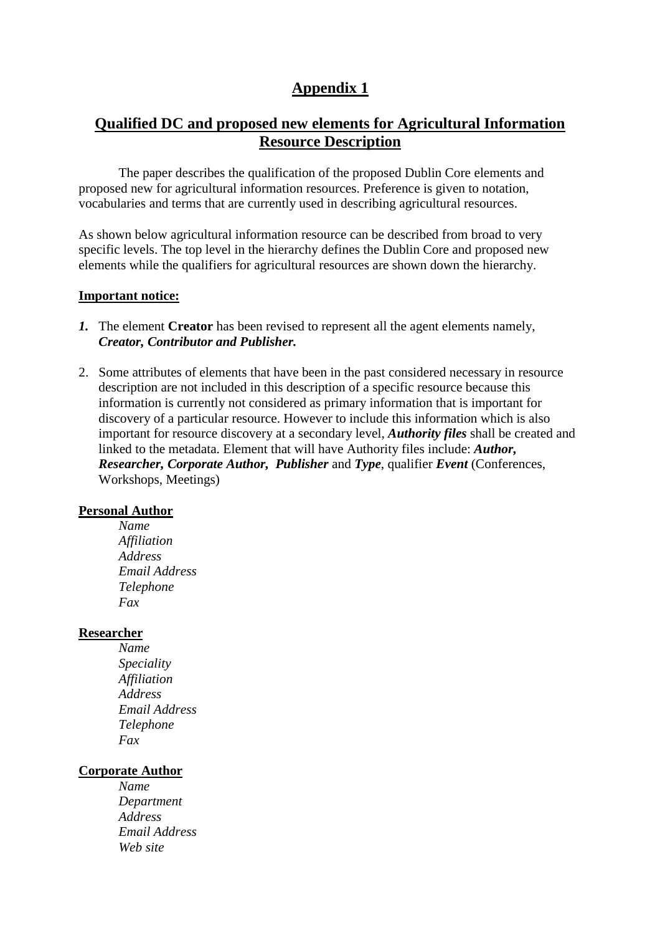## **Appendix 1**

## **Qualified DC and proposed new elements for Agricultural Information Resource Description**

 The paper describes the qualification of the proposed Dublin Core elements and proposed new for agricultural information resources. Preference is given to notation, vocabularies and terms that are currently used in describing agricultural resources.

As shown below agricultural information resource can be described from broad to very specific levels. The top level in the hierarchy defines the Dublin Core and proposed new elements while the qualifiers for agricultural resources are shown down the hierarchy.

#### **Important notice:**

- *1.* The element **Creator** has been revised to represent all the agent elements namely, *Creator, Contributor and Publisher.*
- 2. Some attributes of elements that have been in the past considered necessary in resource description are not included in this description of a specific resource because this information is currently not considered as primary information that is important for discovery of a particular resource. However to include this information which is also important for resource discovery at a secondary level, *Authority files* shall be created and linked to the metadata. Element that will have Authority files include: *Author, Researcher, Corporate Author, Publisher* and *Type*, qualifier *Event* (Conferences, Workshops, Meetings)

#### **Personal Author**

*Name Affiliation Address Email Address Telephone Fax* 

#### **Researcher**

*Name Speciality Affiliation Address Email Address Telephone Fax*

#### **Corporate Author**

*Name Department Address Email Address Web site*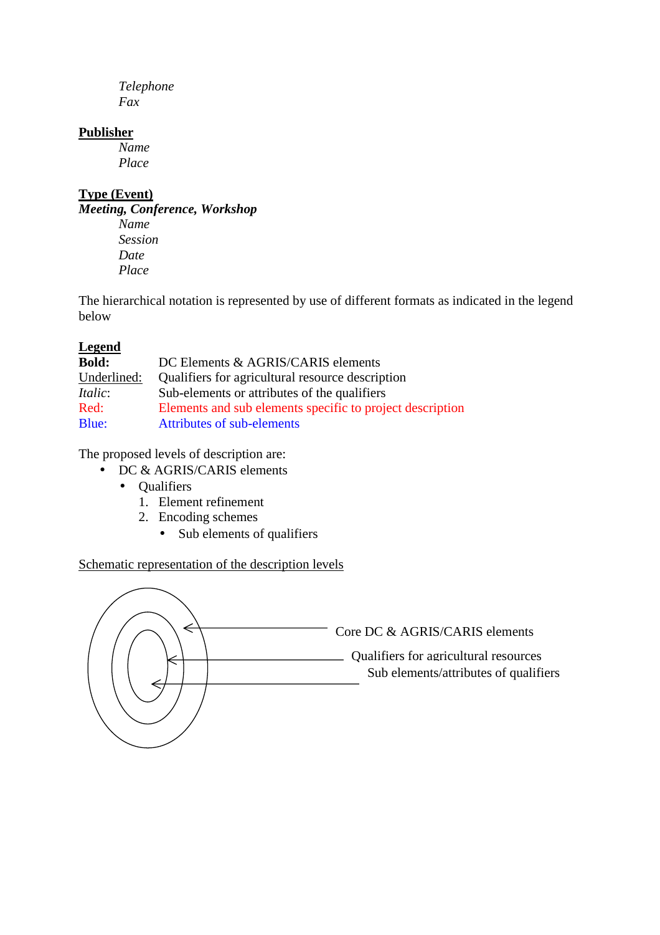*Telephone Fax*

#### **Publisher**

*Name Place*

## **Type (Event)**

*Meeting, Conference, Workshop Name Session Date Place*

The hierarchical notation is represented by use of different formats as indicated in the legend below

### **Legend**

| <b>Bold:</b>   | DC Elements & AGRIS/CARIS elements                        |
|----------------|-----------------------------------------------------------|
| Underlined:    | Qualifiers for agricultural resource description          |
| <i>Italic:</i> | Sub-elements or attributes of the qualifiers              |
| Red:           | Elements and sub elements specific to project description |
| Blue:          | Attributes of sub-elements                                |

The proposed levels of description are:

- DC & AGRIS/CARIS elements
	- Qualifiers
		- 1. Element refinement
		- 2. Encoding schemes
			- Sub elements of qualifiers

## Schematic representation of the description levels

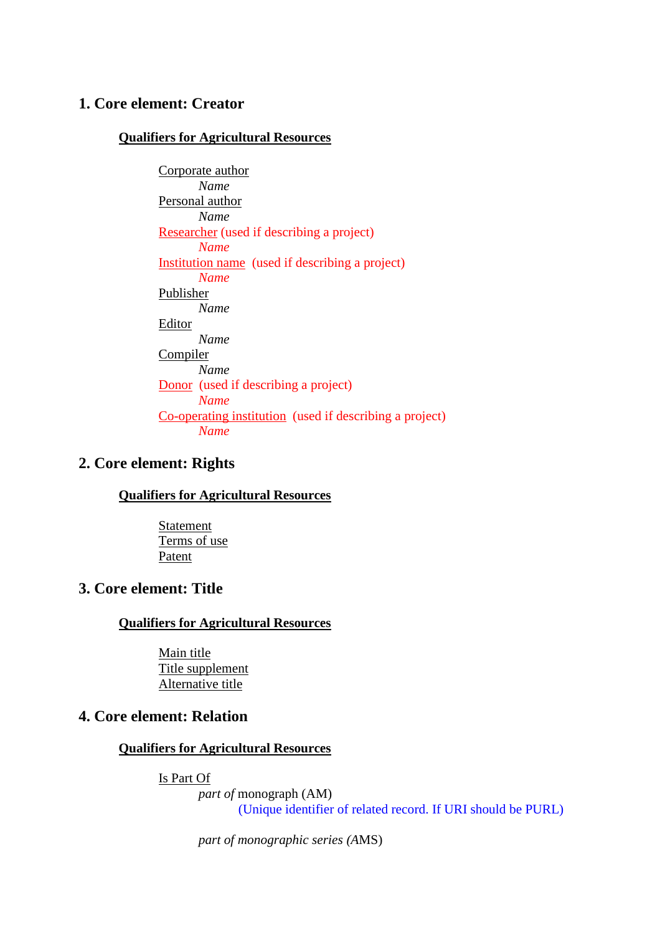## **1. Core element: Creator**

#### **Qualifiers for Agricultural Resources**

Corporate author *Name*  Personal author *Name*  Researcher (used if describing a project) *Name*  Institution name (used if describing a project) *Name* Publisher *Name*  Editor *Name*  Compiler *Name*  Donor (used if describing a project) *Name*  Co-operating institution (used if describing a project) *Name* 

### **2. Core element: Rights**

**Qualifiers for Agricultural Resources**

 Statement Terms of use Patent

### **3. Core element: Title**

#### **Qualifiers for Agricultural Resources**

Main title Title supplement Alternative title

## **4. Core element: Relation**

#### **Qualifiers for Agricultural Resources**

Is Part Of

*part of* monograph (AM) (Unique identifier of related record. If URI should be PURL)

*part of monographic series (A*MS)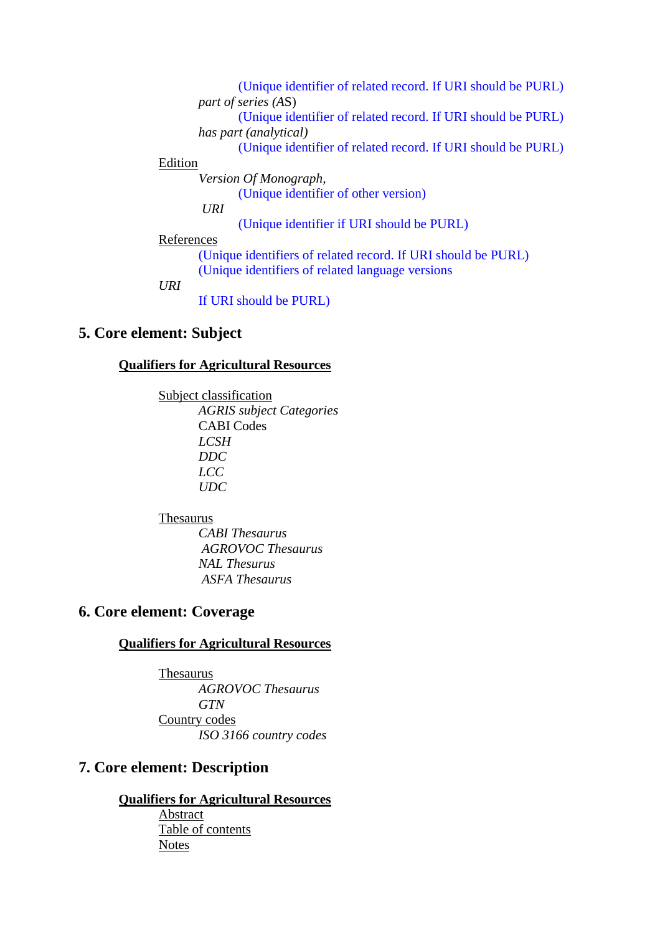(Unique identifier of related record. If URI should be PURL) *part of series (A*S) (Unique identifier of related record. If URI should be PURL) *has part (analytical)* (Unique identifier of related record. If URI should be PURL) Edition *Version Of Monograph,*  (Unique identifier of other version)  *URI* (Unique identifier if URI should be PURL) References (Unique identifiers of related record. If URI should be PURL) (Unique identifiers of related language versions

*URI* 

If URI should be PURL)

#### **5. Core element: Subject**

#### **Qualifiers for Agricultural Resources**

 Subject classification *AGRIS subject Categories* CABI Codes *LCSH DDC* 

 *LCC UDC*

#### Thesaurus

 *CABI Thesaurus AGROVOC Thesaurus NAL Thesurus ASFA Thesaurus*

### **6. Core element: Coverage**

#### **Qualifiers for Agricultural Resources**

 Thesaurus *AGROVOC Thesaurus GTN*  Country codes *ISO 3166 country codes*

## **7. Core element: Description**

### **Qualifiers for Agricultural Resources**

Abstract Table of contents **Notes**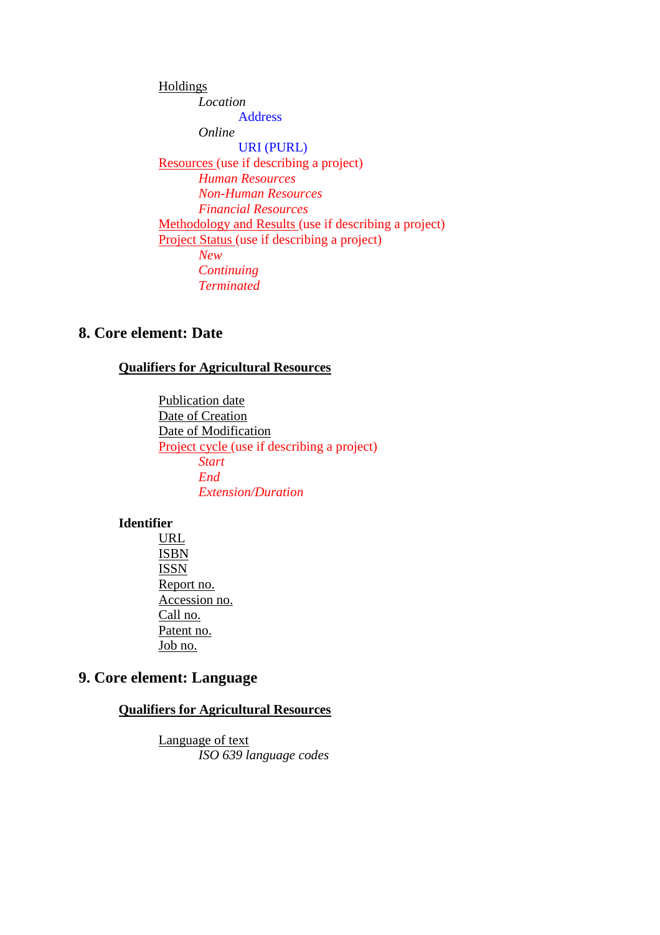Holdings *Location*  Address *Online*  URI (PURL) Resources (use if describing a project) *Human Resources Non-Human Resources Financial Resources* Methodology and Results (use if describing a project) Project Status (use if describing a project) *New Continuing Terminated*

## **8. Core element: Date**

#### **Qualifiers for Agricultural Resources**

Publication date Date of Creation Date of Modification Project cycle (use if describing a project) *Start End Extension/Duration*

#### **Identifier**

 URL ISBN ISSN Report no. Accession no. Call no. Patent no. Job no.

## **9. Core element: Language**

#### **Qualifiers for Agricultural Resources**

 Language of text *ISO 639 language codes*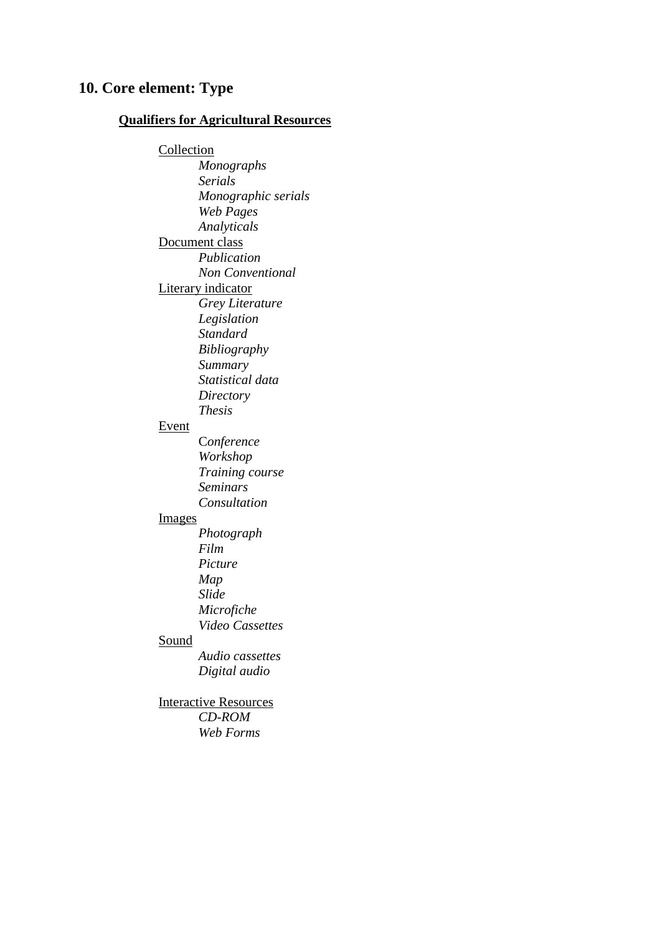## **10. Core element: Type**

#### **Qualifiers for Agricultural Resources**

**Collection**  *Monographs Serials Monographic serials Web Pages Analyticals* Document class *Publication Non Conventional*  Literary indicator *Grey Literature Legislation Standard Bibliography Summary Statistical data Directory Thesis* Event C*onference Workshop Training course Seminars Consultation*  Images *Photograph Film Picture Map Slide Microfiche Video Cassettes* Sound *Audio cassettes Digital audio*  Interactive Resources *CD-ROM* 

 *Web Forms*